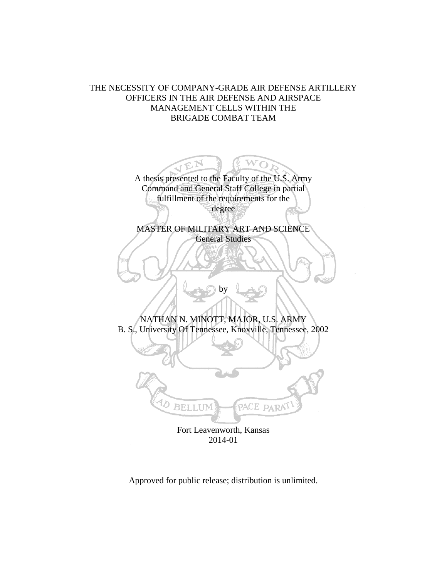# THE NECESSITY OF COMPANY-GRADE AIR DEFENSE ARTILLERY OFFICERS IN THE AIR DEFENSE AND AIRSPACE MANAGEMENT CELLS WITHIN THE BRIGADE COMBAT TEAM

A thesis presented to the Faculty of the U.S. Army Command and General Staff College in partial fulfillment of the requirements for the degree

MASTER OF MILITARY ART AND SCIENCE General Studies

NATHAN N. MINOTT, MAJOR, U.S. ARMY B. S., University Of Tennessee, Knoxville, Tennessee, 2002

by



Fort Leavenworth, Kansas 2014-01

Approved for public release; distribution is unlimited.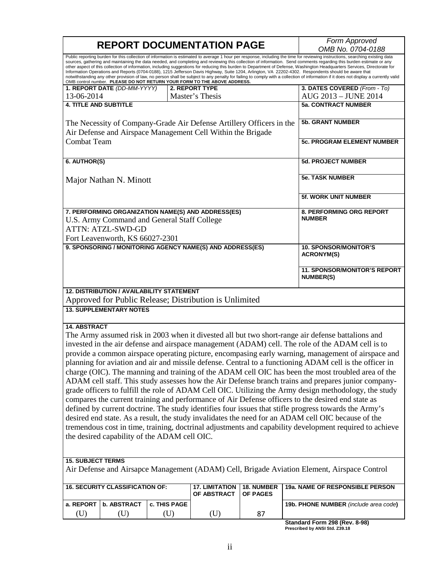| <b>REPORT DOCUMENTATION PAGE</b>                                                                                                                                                                                                                                                                                                                                                                                                                                                                                                                                                                                                                                                                                                                                                                                                                                                                                                                                                                                                                                                                                                                                                                                                                   |                                                  |              |                                                                          | Form Approved<br>OMB No. 0704-0188 |                                                                                                                                                                                                                                                                                                                                                                                                                                                                                                                                                                                                                                                                                                                                                                                                                                                                                       |  |
|----------------------------------------------------------------------------------------------------------------------------------------------------------------------------------------------------------------------------------------------------------------------------------------------------------------------------------------------------------------------------------------------------------------------------------------------------------------------------------------------------------------------------------------------------------------------------------------------------------------------------------------------------------------------------------------------------------------------------------------------------------------------------------------------------------------------------------------------------------------------------------------------------------------------------------------------------------------------------------------------------------------------------------------------------------------------------------------------------------------------------------------------------------------------------------------------------------------------------------------------------|--------------------------------------------------|--------------|--------------------------------------------------------------------------|------------------------------------|---------------------------------------------------------------------------------------------------------------------------------------------------------------------------------------------------------------------------------------------------------------------------------------------------------------------------------------------------------------------------------------------------------------------------------------------------------------------------------------------------------------------------------------------------------------------------------------------------------------------------------------------------------------------------------------------------------------------------------------------------------------------------------------------------------------------------------------------------------------------------------------|--|
|                                                                                                                                                                                                                                                                                                                                                                                                                                                                                                                                                                                                                                                                                                                                                                                                                                                                                                                                                                                                                                                                                                                                                                                                                                                    |                                                  |              | OMB control number. PLEASE DO NOT RETURN YOUR FORM TO THE ABOVE ADDRESS. |                                    | Public reporting burden for this collection of information is estimated to average 1 hour per response, including the time for reviewing instructions, searching existing data<br>sources, gathering and maintaining the data needed, and completing and reviewing this collection of information. Send comments regarding this burden estimate or any<br>other aspect of this collection of information, including suggestions for reducing this burden to Department of Defense, Washington Headquarters Services, Directorate for<br>Information Operations and Reports (0704-0188), 1215 Jefferson Davis Highway, Suite 1204, Arlington, VA 22202-4302. Respondents should be aware that<br>notwithstanding any other provision of law, no person shall be subject to any penalty for failing to comply with a collection of information if it does not display a currently valid |  |
|                                                                                                                                                                                                                                                                                                                                                                                                                                                                                                                                                                                                                                                                                                                                                                                                                                                                                                                                                                                                                                                                                                                                                                                                                                                    | 1. REPORT DATE (DD-MM-YYYY)                      |              | 2. REPORT TYPE                                                           |                                    | 3. DATES COVERED (From - To)                                                                                                                                                                                                                                                                                                                                                                                                                                                                                                                                                                                                                                                                                                                                                                                                                                                          |  |
| 13-06-2014                                                                                                                                                                                                                                                                                                                                                                                                                                                                                                                                                                                                                                                                                                                                                                                                                                                                                                                                                                                                                                                                                                                                                                                                                                         |                                                  |              | Master's Thesis                                                          |                                    | AUG 2013 - JUNE 2014                                                                                                                                                                                                                                                                                                                                                                                                                                                                                                                                                                                                                                                                                                                                                                                                                                                                  |  |
| <b>4. TITLE AND SUBTITLE</b>                                                                                                                                                                                                                                                                                                                                                                                                                                                                                                                                                                                                                                                                                                                                                                                                                                                                                                                                                                                                                                                                                                                                                                                                                       |                                                  |              |                                                                          |                                    | <b>5a. CONTRACT NUMBER</b>                                                                                                                                                                                                                                                                                                                                                                                                                                                                                                                                                                                                                                                                                                                                                                                                                                                            |  |
| The Necessity of Company-Grade Air Defense Artillery Officers in the<br>Air Defense and Airspace Management Cell Within the Brigade                                                                                                                                                                                                                                                                                                                                                                                                                                                                                                                                                                                                                                                                                                                                                                                                                                                                                                                                                                                                                                                                                                                |                                                  |              | <b>5b. GRANT NUMBER</b>                                                  |                                    |                                                                                                                                                                                                                                                                                                                                                                                                                                                                                                                                                                                                                                                                                                                                                                                                                                                                                       |  |
| <b>Combat Team</b>                                                                                                                                                                                                                                                                                                                                                                                                                                                                                                                                                                                                                                                                                                                                                                                                                                                                                                                                                                                                                                                                                                                                                                                                                                 |                                                  |              | <b>5c. PROGRAM ELEMENT NUMBER</b>                                        |                                    |                                                                                                                                                                                                                                                                                                                                                                                                                                                                                                                                                                                                                                                                                                                                                                                                                                                                                       |  |
| 6. AUTHOR(S)                                                                                                                                                                                                                                                                                                                                                                                                                                                                                                                                                                                                                                                                                                                                                                                                                                                                                                                                                                                                                                                                                                                                                                                                                                       |                                                  |              |                                                                          |                                    | <b>5d. PROJECT NUMBER</b>                                                                                                                                                                                                                                                                                                                                                                                                                                                                                                                                                                                                                                                                                                                                                                                                                                                             |  |
|                                                                                                                                                                                                                                                                                                                                                                                                                                                                                                                                                                                                                                                                                                                                                                                                                                                                                                                                                                                                                                                                                                                                                                                                                                                    | Major Nathan N. Minott                           |              |                                                                          |                                    | <b>5e. TASK NUMBER</b>                                                                                                                                                                                                                                                                                                                                                                                                                                                                                                                                                                                                                                                                                                                                                                                                                                                                |  |
|                                                                                                                                                                                                                                                                                                                                                                                                                                                                                                                                                                                                                                                                                                                                                                                                                                                                                                                                                                                                                                                                                                                                                                                                                                                    |                                                  |              |                                                                          |                                    | 5f. WORK UNIT NUMBER                                                                                                                                                                                                                                                                                                                                                                                                                                                                                                                                                                                                                                                                                                                                                                                                                                                                  |  |
| 7. PERFORMING ORGANIZATION NAME(S) AND ADDRESS(ES)<br>U.S. Army Command and General Staff College<br><b>ATTN: ATZL-SWD-GD</b>                                                                                                                                                                                                                                                                                                                                                                                                                                                                                                                                                                                                                                                                                                                                                                                                                                                                                                                                                                                                                                                                                                                      |                                                  |              | 8. PERFORMING ORG REPORT<br><b>NUMBER</b>                                |                                    |                                                                                                                                                                                                                                                                                                                                                                                                                                                                                                                                                                                                                                                                                                                                                                                                                                                                                       |  |
|                                                                                                                                                                                                                                                                                                                                                                                                                                                                                                                                                                                                                                                                                                                                                                                                                                                                                                                                                                                                                                                                                                                                                                                                                                                    | Fort Leavenworth, KS 66027-2301                  |              |                                                                          |                                    |                                                                                                                                                                                                                                                                                                                                                                                                                                                                                                                                                                                                                                                                                                                                                                                                                                                                                       |  |
| 9. SPONSORING / MONITORING AGENCY NAME(S) AND ADDRESS(ES)                                                                                                                                                                                                                                                                                                                                                                                                                                                                                                                                                                                                                                                                                                                                                                                                                                                                                                                                                                                                                                                                                                                                                                                          |                                                  |              | <b>10. SPONSOR/MONITOR'S</b><br><b>ACRONYM(S)</b>                        |                                    |                                                                                                                                                                                                                                                                                                                                                                                                                                                                                                                                                                                                                                                                                                                                                                                                                                                                                       |  |
|                                                                                                                                                                                                                                                                                                                                                                                                                                                                                                                                                                                                                                                                                                                                                                                                                                                                                                                                                                                                                                                                                                                                                                                                                                                    | 11. SPONSOR/MONITOR'S REPORT<br><b>NUMBER(S)</b> |              |                                                                          |                                    |                                                                                                                                                                                                                                                                                                                                                                                                                                                                                                                                                                                                                                                                                                                                                                                                                                                                                       |  |
|                                                                                                                                                                                                                                                                                                                                                                                                                                                                                                                                                                                                                                                                                                                                                                                                                                                                                                                                                                                                                                                                                                                                                                                                                                                    | <b>12. DISTRIBUTION / AVAILABILITY STATEMENT</b> |              | Approved for Public Release; Distribution is Unlimited                   |                                    |                                                                                                                                                                                                                                                                                                                                                                                                                                                                                                                                                                                                                                                                                                                                                                                                                                                                                       |  |
|                                                                                                                                                                                                                                                                                                                                                                                                                                                                                                                                                                                                                                                                                                                                                                                                                                                                                                                                                                                                                                                                                                                                                                                                                                                    | <b>13. SUPPLEMENTARY NOTES</b>                   |              |                                                                          |                                    |                                                                                                                                                                                                                                                                                                                                                                                                                                                                                                                                                                                                                                                                                                                                                                                                                                                                                       |  |
| <b>14. ABSTRACT</b><br>The Army assumed risk in 2003 when it divested all but two short-range air defense battalions and<br>invested in the air defense and airspace management (ADAM) cell. The role of the ADAM cell is to<br>provide a common airspace operating picture, encompasing early warning, management of airspace and<br>planning for aviation and air and missile defense. Central to a functioning ADAM cell is the officer in<br>charge (OIC). The manning and training of the ADAM cell OIC has been the most troubled area of the<br>ADAM cell staff. This study assesses how the Air Defense branch trains and prepares junior company-<br>grade officers to fulfill the role of ADAM Cell OIC. Utilizing the Army design methodology, the study<br>compares the current training and performance of Air Defense officers to the desired end state as<br>defined by current doctrine. The study identifies four issues that stifle progress towards the Army's<br>desired end state. As a result, the study invalidates the need for an ADAM cell OIC because of the<br>tremendous cost in time, training, doctrinal adjustments and capability development required to achieve<br>the desired capability of the ADAM cell OIC. |                                                  |              |                                                                          |                                    |                                                                                                                                                                                                                                                                                                                                                                                                                                                                                                                                                                                                                                                                                                                                                                                                                                                                                       |  |
| <b>15. SUBJECT TERMS</b><br>Air Defense and Airsapce Management (ADAM) Cell, Brigade Aviation Element, Airspace Control                                                                                                                                                                                                                                                                                                                                                                                                                                                                                                                                                                                                                                                                                                                                                                                                                                                                                                                                                                                                                                                                                                                            |                                                  |              |                                                                          |                                    |                                                                                                                                                                                                                                                                                                                                                                                                                                                                                                                                                                                                                                                                                                                                                                                                                                                                                       |  |
|                                                                                                                                                                                                                                                                                                                                                                                                                                                                                                                                                                                                                                                                                                                                                                                                                                                                                                                                                                                                                                                                                                                                                                                                                                                    | <b>16. SECURITY CLASSIFICATION OF:</b>           |              | <b>17. LIMITATION</b>                                                    | 18. NUMBER                         | 19a. NAME OF RESPONSIBLE PERSON                                                                                                                                                                                                                                                                                                                                                                                                                                                                                                                                                                                                                                                                                                                                                                                                                                                       |  |
|                                                                                                                                                                                                                                                                                                                                                                                                                                                                                                                                                                                                                                                                                                                                                                                                                                                                                                                                                                                                                                                                                                                                                                                                                                                    |                                                  |              | OF ABSTRACT                                                              | OF PAGES                           |                                                                                                                                                                                                                                                                                                                                                                                                                                                                                                                                                                                                                                                                                                                                                                                                                                                                                       |  |
| a. REPORT                                                                                                                                                                                                                                                                                                                                                                                                                                                                                                                                                                                                                                                                                                                                                                                                                                                                                                                                                                                                                                                                                                                                                                                                                                          | <b>b. ABSTRACT</b>                               | c. THIS PAGE |                                                                          |                                    | 19b. PHONE NUMBER (include area code)                                                                                                                                                                                                                                                                                                                                                                                                                                                                                                                                                                                                                                                                                                                                                                                                                                                 |  |
| (U)                                                                                                                                                                                                                                                                                                                                                                                                                                                                                                                                                                                                                                                                                                                                                                                                                                                                                                                                                                                                                                                                                                                                                                                                                                                | (U)                                              | (U)          | (U)                                                                      | 87                                 | $d_{out}$ Ferma 000 (Berrick 00)                                                                                                                                                                                                                                                                                                                                                                                                                                                                                                                                                                                                                                                                                                                                                                                                                                                      |  |

**Standard Form 298 (Rev. 8-98) Prescribed by ANSI Std. Z39.18**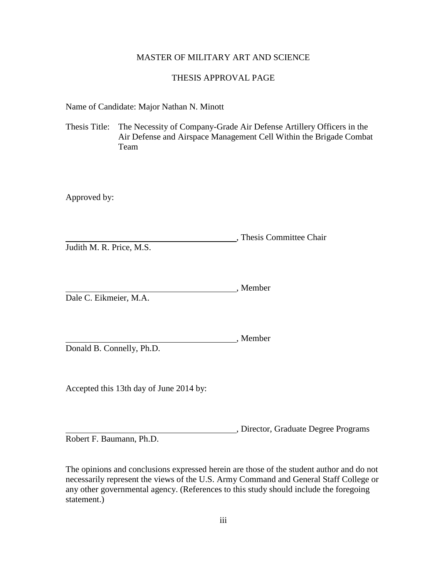# MASTER OF MILITARY ART AND SCIENCE

# THESIS APPROVAL PAGE

Name of Candidate: Major Nathan N. Minott

Thesis Title: The Necessity of Company-Grade Air Defense Artillery Officers in the Air Defense and Airspace Management Cell Within the Brigade Combat Team

Approved by:

, Thesis Committee Chair Judith M. R. Price, M.S.

, Member Dale C. Eikmeier, M.A.

Donald B. Connelly, Ph.D.

Accepted this 13th day of June 2014 by:

, Director, Graduate Degree Programs

, Member

Robert F. Baumann, Ph.D.

The opinions and conclusions expressed herein are those of the student author and do not necessarily represent the views of the U.S. Army Command and General Staff College or any other governmental agency. (References to this study should include the foregoing statement.)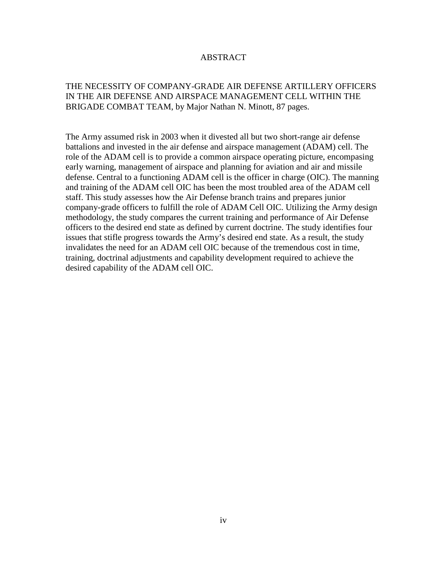# ABSTRACT

# THE NECESSITY OF COMPANY-GRADE AIR DEFENSE ARTILLERY OFFICERS IN THE AIR DEFENSE AND AIRSPACE MANAGEMENT CELL WITHIN THE BRIGADE COMBAT TEAM, by Major Nathan N. Minott, 87 pages.

The Army assumed risk in 2003 when it divested all but two short-range air defense battalions and invested in the air defense and airspace management (ADAM) cell. The role of the ADAM cell is to provide a common airspace operating picture, encompasing early warning, management of airspace and planning for aviation and air and missile defense. Central to a functioning ADAM cell is the officer in charge (OIC). The manning and training of the ADAM cell OIC has been the most troubled area of the ADAM cell staff. This study assesses how the Air Defense branch trains and prepares junior company-grade officers to fulfill the role of ADAM Cell OIC. Utilizing the Army design methodology, the study compares the current training and performance of Air Defense officers to the desired end state as defined by current doctrine. The study identifies four issues that stifle progress towards the Army's desired end state. As a result, the study invalidates the need for an ADAM cell OIC because of the tremendous cost in time, training, doctrinal adjustments and capability development required to achieve the desired capability of the ADAM cell OIC.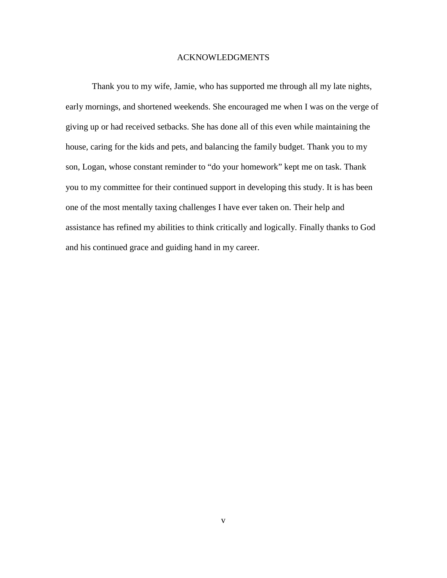# ACKNOWLEDGMENTS

Thank you to my wife, Jamie, who has supported me through all my late nights, early mornings, and shortened weekends. She encouraged me when I was on the verge of giving up or had received setbacks. She has done all of this even while maintaining the house, caring for the kids and pets, and balancing the family budget. Thank you to my son, Logan, whose constant reminder to "do your homework" kept me on task. Thank you to my committee for their continued support in developing this study. It is has been one of the most mentally taxing challenges I have ever taken on. Their help and assistance has refined my abilities to think critically and logically. Finally thanks to God and his continued grace and guiding hand in my career.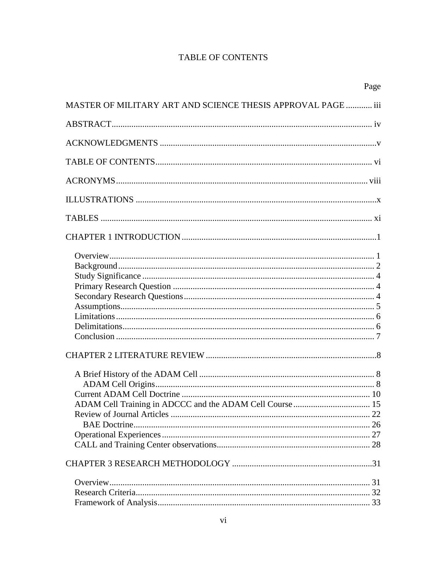# **TABLE OF CONTENTS**

| Page                                                         |
|--------------------------------------------------------------|
| MASTER OF MILITARY ART AND SCIENCE THESIS APPROVAL PAGE  iii |
|                                                              |
|                                                              |
|                                                              |
|                                                              |
|                                                              |
|                                                              |
|                                                              |
|                                                              |
|                                                              |
|                                                              |
|                                                              |
|                                                              |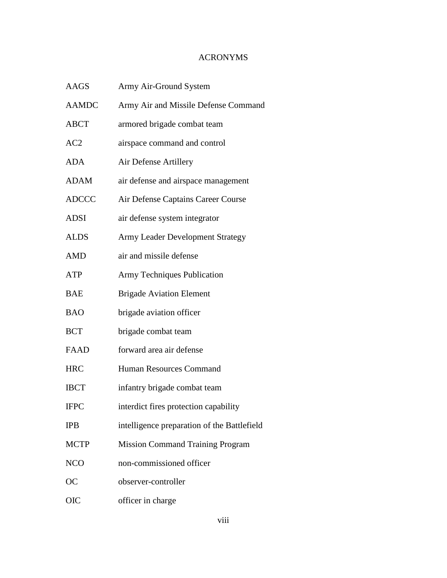# ACRONYMS

| <b>AAGS</b>  | Army Air-Ground System                      |
|--------------|---------------------------------------------|
| <b>AAMDC</b> | Army Air and Missile Defense Command        |
| <b>ABCT</b>  | armored brigade combat team                 |
| AC2          | airspace command and control                |
| <b>ADA</b>   | Air Defense Artillery                       |
| ADAM         | air defense and airspace management         |
| <b>ADCCC</b> | Air Defense Captains Career Course          |
| <b>ADSI</b>  | air defense system integrator               |
| <b>ALDS</b>  | <b>Army Leader Development Strategy</b>     |
| <b>AMD</b>   | air and missile defense                     |
| ATP          | <b>Army Techniques Publication</b>          |
| BAE          | <b>Brigade Aviation Element</b>             |
| <b>BAO</b>   | brigade aviation officer                    |
| <b>BCT</b>   | brigade combat team                         |
| <b>FAAD</b>  | forward area air defense                    |
| <b>HRC</b>   | Human Resources Command                     |
| <b>IBCT</b>  | infantry brigade combat team                |
| <b>IFPC</b>  | interdict fires protection capability       |
| <b>IPB</b>   | intelligence preparation of the Battlefield |
| <b>MCTP</b>  | <b>Mission Command Training Program</b>     |
| <b>NCO</b>   | non-commissioned officer                    |
| ОC           | observer-controller                         |
| OIC          | officer in charge                           |
|              |                                             |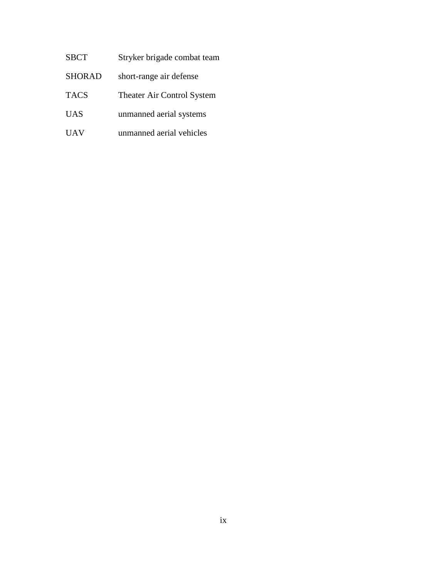- SBCT Stryker brigade combat team
- SHORAD short-range air defense
- TACS Theater Air Control System
- UAS unmanned aerial systems
- UAV unmanned aerial vehicles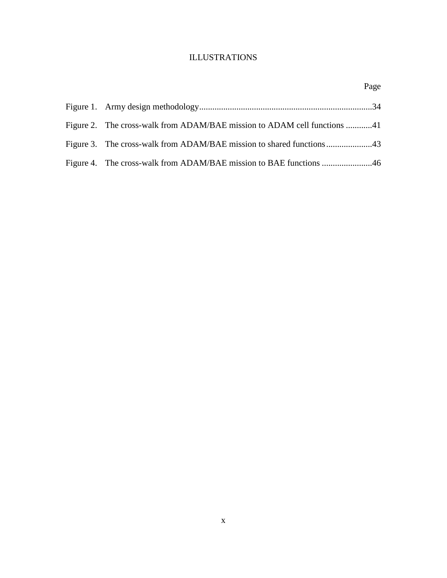# ILLUSTRATIONS

| Page                                                                     |
|--------------------------------------------------------------------------|
|                                                                          |
| Figure 2. The cross-walk from ADAM/BAE mission to ADAM cell functions 41 |
|                                                                          |
|                                                                          |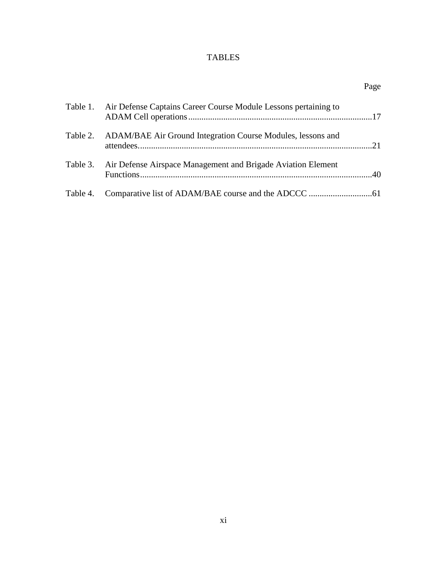# TABLES

|          |                                                                      | Page |
|----------|----------------------------------------------------------------------|------|
| Table 1. | Air Defense Captains Career Course Module Lessons pertaining to      |      |
|          | Table 2. ADAM/BAE Air Ground Integration Course Modules, lessons and | 21   |
| Table 3. | Air Defense Airspace Management and Brigade Aviation Element         |      |
| Table 4. |                                                                      |      |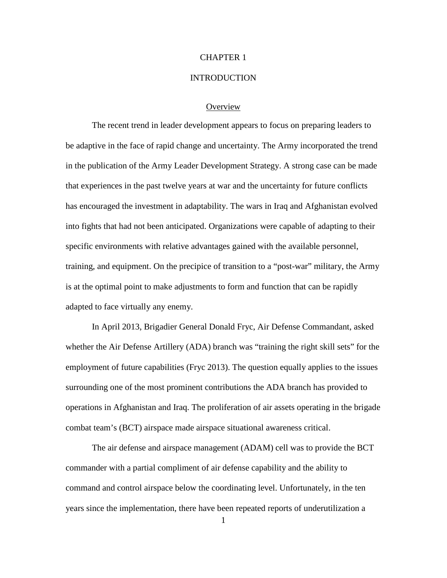### CHAPTER 1

#### **INTRODUCTION**

### **Overview**

The recent trend in leader development appears to focus on preparing leaders to be adaptive in the face of rapid change and uncertainty. The Army incorporated the trend in the publication of the Army Leader Development Strategy. A strong case can be made that experiences in the past twelve years at war and the uncertainty for future conflicts has encouraged the investment in adaptability. The wars in Iraq and Afghanistan evolved into fights that had not been anticipated. Organizations were capable of adapting to their specific environments with relative advantages gained with the available personnel, training, and equipment. On the precipice of transition to a "post-war" military, the Army is at the optimal point to make adjustments to form and function that can be rapidly adapted to face virtually any enemy.

In April 2013, Brigadier General Donald Fryc, Air Defense Commandant, asked whether the Air Defense Artillery (ADA) branch was "training the right skill sets" for the employment of future capabilities (Fryc 2013). The question equally applies to the issues surrounding one of the most prominent contributions the ADA branch has provided to operations in Afghanistan and Iraq. The proliferation of air assets operating in the brigade combat team's (BCT) airspace made airspace situational awareness critical.

The air defense and airspace management (ADAM) cell was to provide the BCT commander with a partial compliment of air defense capability and the ability to command and control airspace below the coordinating level. Unfortunately, in the ten years since the implementation, there have been repeated reports of underutilization a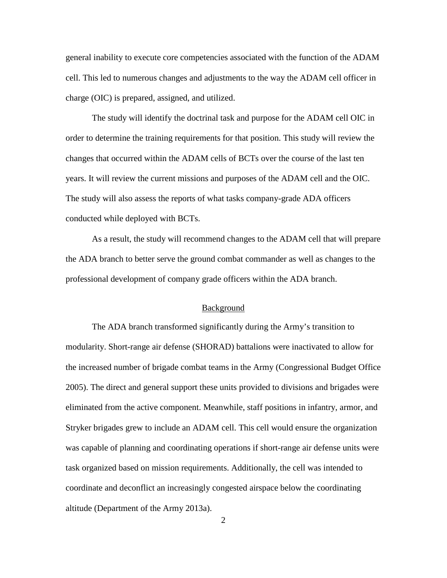general inability to execute core competencies associated with the function of the ADAM cell. This led to numerous changes and adjustments to the way the ADAM cell officer in charge (OIC) is prepared, assigned, and utilized.

The study will identify the doctrinal task and purpose for the ADAM cell OIC in order to determine the training requirements for that position. This study will review the changes that occurred within the ADAM cells of BCTs over the course of the last ten years. It will review the current missions and purposes of the ADAM cell and the OIC. The study will also assess the reports of what tasks company-grade ADA officers conducted while deployed with BCTs.

As a result, the study will recommend changes to the ADAM cell that will prepare the ADA branch to better serve the ground combat commander as well as changes to the professional development of company grade officers within the ADA branch.

#### Background

The ADA branch transformed significantly during the Army's transition to modularity. Short-range air defense (SHORAD) battalions were inactivated to allow for the increased number of brigade combat teams in the Army (Congressional Budget Office 2005). The direct and general support these units provided to divisions and brigades were eliminated from the active component. Meanwhile, staff positions in infantry, armor, and Stryker brigades grew to include an ADAM cell. This cell would ensure the organization was capable of planning and coordinating operations if short-range air defense units were task organized based on mission requirements. Additionally, the cell was intended to coordinate and deconflict an increasingly congested airspace below the coordinating altitude (Department of the Army 2013a).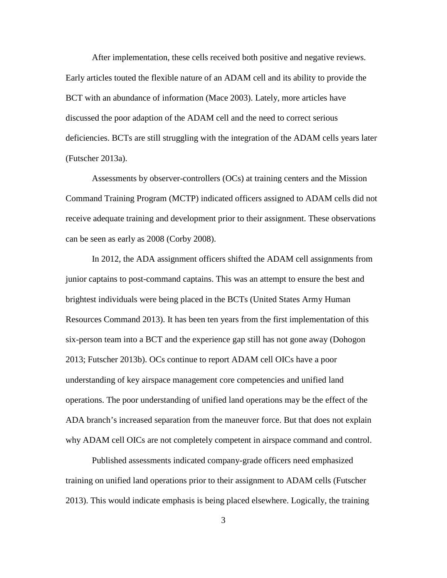After implementation, these cells received both positive and negative reviews. Early articles touted the flexible nature of an ADAM cell and its ability to provide the BCT with an abundance of information (Mace 2003). Lately, more articles have discussed the poor adaption of the ADAM cell and the need to correct serious deficiencies. BCTs are still struggling with the integration of the ADAM cells years later (Futscher 2013a).

Assessments by observer-controllers (OCs) at training centers and the Mission Command Training Program (MCTP) indicated officers assigned to ADAM cells did not receive adequate training and development prior to their assignment. These observations can be seen as early as 2008 (Corby 2008).

In 2012, the ADA assignment officers shifted the ADAM cell assignments from junior captains to post-command captains. This was an attempt to ensure the best and brightest individuals were being placed in the BCTs (United States Army Human Resources Command 2013). It has been ten years from the first implementation of this six-person team into a BCT and the experience gap still has not gone away (Dohogon 2013; Futscher 2013b). OCs continue to report ADAM cell OICs have a poor understanding of key airspace management core competencies and unified land operations. The poor understanding of unified land operations may be the effect of the ADA branch's increased separation from the maneuver force. But that does not explain why ADAM cell OICs are not completely competent in airspace command and control.

Published assessments indicated company-grade officers need emphasized training on unified land operations prior to their assignment to ADAM cells (Futscher 2013). This would indicate emphasis is being placed elsewhere. Logically, the training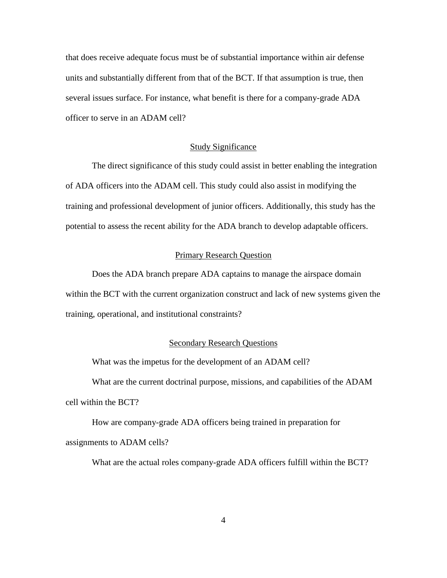that does receive adequate focus must be of substantial importance within air defense units and substantially different from that of the BCT. If that assumption is true, then several issues surface. For instance, what benefit is there for a company-grade ADA officer to serve in an ADAM cell?

## Study Significance

The direct significance of this study could assist in better enabling the integration of ADA officers into the ADAM cell. This study could also assist in modifying the training and professional development of junior officers. Additionally, this study has the potential to assess the recent ability for the ADA branch to develop adaptable officers.

# Primary Research Question

Does the ADA branch prepare ADA captains to manage the airspace domain within the BCT with the current organization construct and lack of new systems given the training, operational, and institutional constraints?

#### Secondary Research Questions

What was the impetus for the development of an ADAM cell?

What are the current doctrinal purpose, missions, and capabilities of the ADAM cell within the BCT?

How are company-grade ADA officers being trained in preparation for assignments to ADAM cells?

What are the actual roles company-grade ADA officers fulfill within the BCT?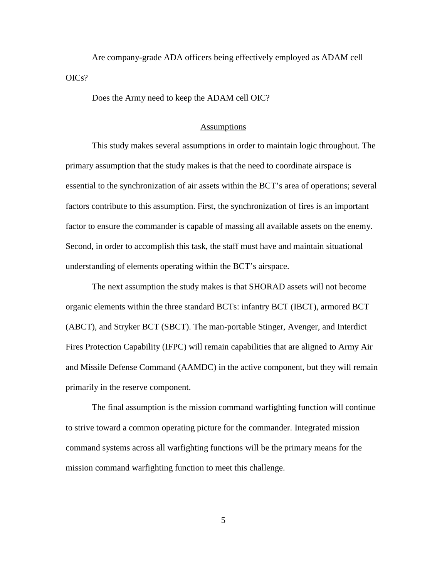Are company-grade ADA officers being effectively employed as ADAM cell OICs?

Does the Army need to keep the ADAM cell OIC?

#### Assumptions

This study makes several assumptions in order to maintain logic throughout. The primary assumption that the study makes is that the need to coordinate airspace is essential to the synchronization of air assets within the BCT's area of operations; several factors contribute to this assumption. First, the synchronization of fires is an important factor to ensure the commander is capable of massing all available assets on the enemy. Second, in order to accomplish this task, the staff must have and maintain situational understanding of elements operating within the BCT's airspace.

The next assumption the study makes is that SHORAD assets will not become organic elements within the three standard BCTs: infantry BCT (IBCT), armored BCT (ABCT), and Stryker BCT (SBCT). The man-portable Stinger, Avenger, and Interdict Fires Protection Capability (IFPC) will remain capabilities that are aligned to Army Air and Missile Defense Command (AAMDC) in the active component, but they will remain primarily in the reserve component.

The final assumption is the mission command warfighting function will continue to strive toward a common operating picture for the commander. Integrated mission command systems across all warfighting functions will be the primary means for the mission command warfighting function to meet this challenge.

5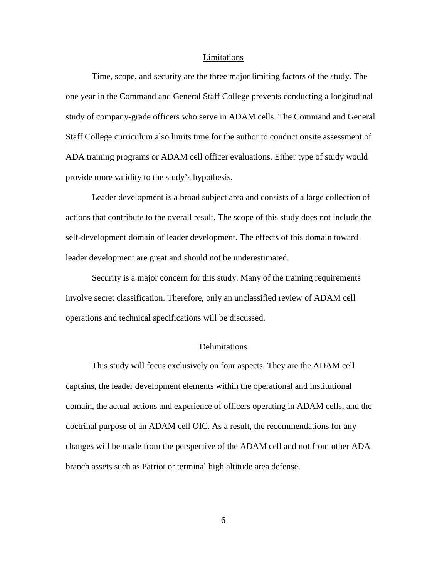#### Limitations

Time, scope, and security are the three major limiting factors of the study. The one year in the Command and General Staff College prevents conducting a longitudinal study of company-grade officers who serve in ADAM cells. The Command and General Staff College curriculum also limits time for the author to conduct onsite assessment of ADA training programs or ADAM cell officer evaluations. Either type of study would provide more validity to the study's hypothesis.

Leader development is a broad subject area and consists of a large collection of actions that contribute to the overall result. The scope of this study does not include the self-development domain of leader development. The effects of this domain toward leader development are great and should not be underestimated.

Security is a major concern for this study. Many of the training requirements involve secret classification. Therefore, only an unclassified review of ADAM cell operations and technical specifications will be discussed.

# Delimitations

This study will focus exclusively on four aspects. They are the ADAM cell captains, the leader development elements within the operational and institutional domain, the actual actions and experience of officers operating in ADAM cells, and the doctrinal purpose of an ADAM cell OIC. As a result, the recommendations for any changes will be made from the perspective of the ADAM cell and not from other ADA branch assets such as Patriot or terminal high altitude area defense.

6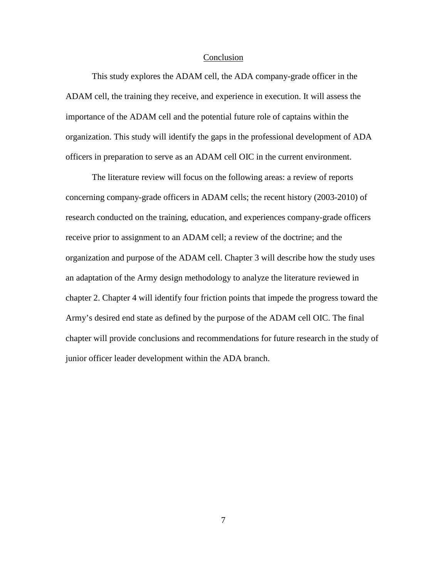#### **Conclusion**

This study explores the ADAM cell, the ADA company-grade officer in the ADAM cell, the training they receive, and experience in execution. It will assess the importance of the ADAM cell and the potential future role of captains within the organization. This study will identify the gaps in the professional development of ADA officers in preparation to serve as an ADAM cell OIC in the current environment.

The literature review will focus on the following areas: a review of reports concerning company-grade officers in ADAM cells; the recent history (2003-2010) of research conducted on the training, education, and experiences company-grade officers receive prior to assignment to an ADAM cell; a review of the doctrine; and the organization and purpose of the ADAM cell. Chapter 3 will describe how the study uses an adaptation of the Army design methodology to analyze the literature reviewed in chapter 2. Chapter 4 will identify four friction points that impede the progress toward the Army's desired end state as defined by the purpose of the ADAM cell OIC. The final chapter will provide conclusions and recommendations for future research in the study of junior officer leader development within the ADA branch.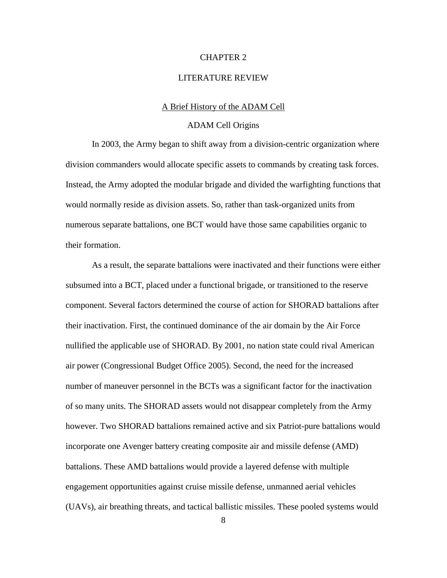### CHAPTER 2

### LITERATURE REVIEW

### A Brief History of the ADAM Cell

## ADAM Cell Origins

In 2003, the Army began to shift away from a division-centric organization where division commanders would allocate specific assets to commands by creating task forces. Instead, the Army adopted the modular brigade and divided the warfighting functions that would normally reside as division assets. So, rather than task-organized units from numerous separate battalions, one BCT would have those same capabilities organic to their formation.

As a result, the separate battalions were inactivated and their functions were either subsumed into a BCT, placed under a functional brigade, or transitioned to the reserve component. Several factors determined the course of action for SHORAD battalions after their inactivation. First, the continued dominance of the air domain by the Air Force nullified the applicable use of SHORAD. By 2001, no nation state could rival American air power (Congressional Budget Office 2005). Second, the need for the increased number of maneuver personnel in the BCTs was a significant factor for the inactivation of so many units. The SHORAD assets would not disappear completely from the Army however. Two SHORAD battalions remained active and six Patriot-pure battalions would incorporate one Avenger battery creating composite air and missile defense (AMD) battalions. These AMD battalions would provide a layered defense with multiple engagement opportunities against cruise missile defense, unmanned aerial vehicles (UAVs), air breathing threats, and tactical ballistic missiles. These pooled systems would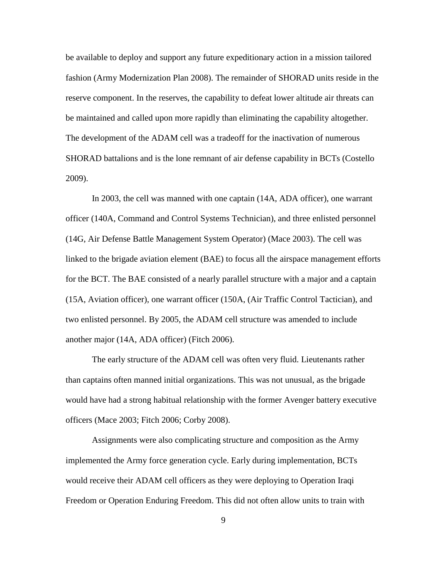be available to deploy and support any future expeditionary action in a mission tailored fashion (Army Modernization Plan 2008). The remainder of SHORAD units reside in the reserve component. In the reserves, the capability to defeat lower altitude air threats can be maintained and called upon more rapidly than eliminating the capability altogether. The development of the ADAM cell was a tradeoff for the inactivation of numerous SHORAD battalions and is the lone remnant of air defense capability in BCTs (Costello 2009).

In 2003, the cell was manned with one captain (14A, ADA officer), one warrant officer (140A, Command and Control Systems Technician), and three enlisted personnel (14G, Air Defense Battle Management System Operator) (Mace 2003). The cell was linked to the brigade aviation element (BAE) to focus all the airspace management efforts for the BCT. The BAE consisted of a nearly parallel structure with a major and a captain (15A, Aviation officer), one warrant officer (150A, (Air Traffic Control Tactician), and two enlisted personnel. By 2005, the ADAM cell structure was amended to include another major (14A, ADA officer) (Fitch 2006).

The early structure of the ADAM cell was often very fluid. Lieutenants rather than captains often manned initial organizations. This was not unusual, as the brigade would have had a strong habitual relationship with the former Avenger battery executive officers (Mace 2003; Fitch 2006; Corby 2008).

Assignments were also complicating structure and composition as the Army implemented the Army force generation cycle. Early during implementation, BCTs would receive their ADAM cell officers as they were deploying to Operation Iraqi Freedom or Operation Enduring Freedom. This did not often allow units to train with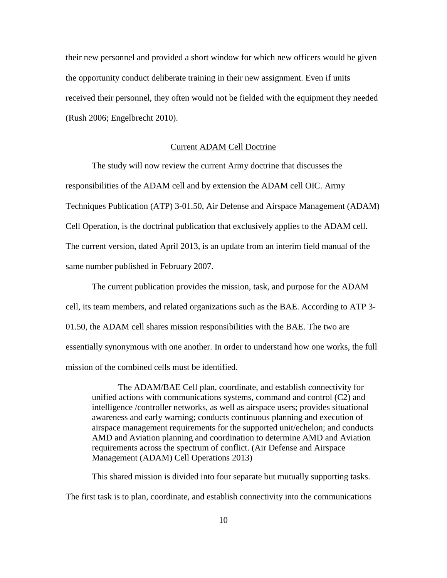their new personnel and provided a short window for which new officers would be given the opportunity conduct deliberate training in their new assignment. Even if units received their personnel, they often would not be fielded with the equipment they needed (Rush 2006; Engelbrecht 2010).

### Current ADAM Cell Doctrine

The study will now review the current Army doctrine that discusses the responsibilities of the ADAM cell and by extension the ADAM cell OIC. Army Techniques Publication (ATP) 3-01.50, Air Defense and Airspace Management (ADAM) Cell Operation, is the doctrinal publication that exclusively applies to the ADAM cell. The current version, dated April 2013, is an update from an interim field manual of the same number published in February 2007.

The current publication provides the mission, task, and purpose for the ADAM cell, its team members, and related organizations such as the BAE. According to ATP 3- 01.50, the ADAM cell shares mission responsibilities with the BAE. The two are essentially synonymous with one another. In order to understand how one works, the full mission of the combined cells must be identified.

The ADAM/BAE Cell plan, coordinate, and establish connectivity for unified actions with communications systems, command and control (C2) and intelligence /controller networks, as well as airspace users; provides situational awareness and early warning; conducts continuous planning and execution of airspace management requirements for the supported unit/echelon; and conducts AMD and Aviation planning and coordination to determine AMD and Aviation requirements across the spectrum of conflict. (Air Defense and Airspace Management (ADAM) Cell Operations 2013)

This shared mission is divided into four separate but mutually supporting tasks. The first task is to plan, coordinate, and establish connectivity into the communications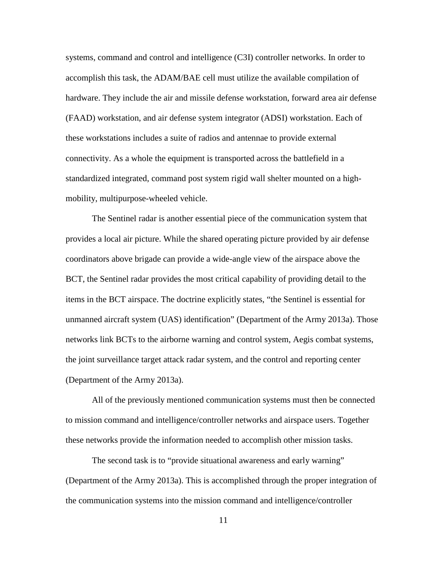systems, command and control and intelligence (C3I) controller networks. In order to accomplish this task, the ADAM/BAE cell must utilize the available compilation of hardware. They include the air and missile defense workstation, forward area air defense (FAAD) workstation, and air defense system integrator (ADSI) workstation. Each of these workstations includes a suite of radios and antennae to provide external connectivity. As a whole the equipment is transported across the battlefield in a standardized integrated, command post system rigid wall shelter mounted on a highmobility, multipurpose-wheeled vehicle.

The Sentinel radar is another essential piece of the communication system that provides a local air picture. While the shared operating picture provided by air defense coordinators above brigade can provide a wide-angle view of the airspace above the BCT, the Sentinel radar provides the most critical capability of providing detail to the items in the BCT airspace. The doctrine explicitly states, "the Sentinel is essential for unmanned aircraft system (UAS) identification" (Department of the Army 2013a). Those networks link BCTs to the airborne warning and control system, Aegis combat systems, the joint surveillance target attack radar system, and the control and reporting center (Department of the Army 2013a).

All of the previously mentioned communication systems must then be connected to mission command and intelligence/controller networks and airspace users. Together these networks provide the information needed to accomplish other mission tasks.

The second task is to "provide situational awareness and early warning" (Department of the Army 2013a). This is accomplished through the proper integration of the communication systems into the mission command and intelligence/controller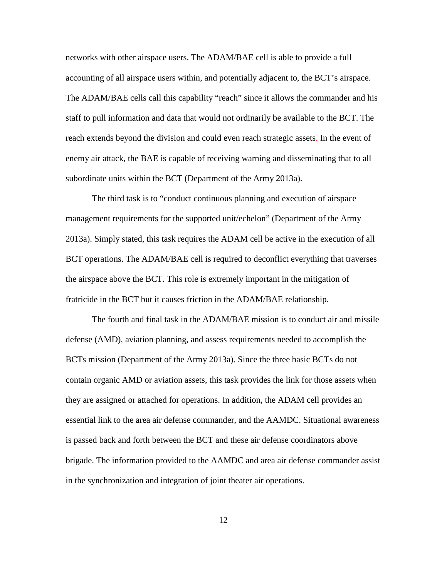networks with other airspace users. The ADAM/BAE cell is able to provide a full accounting of all airspace users within, and potentially adjacent to, the BCT's airspace. The ADAM/BAE cells call this capability "reach" since it allows the commander and his staff to pull information and data that would not ordinarily be available to the BCT. The reach extends beyond the division and could even reach strategic assets. In the event of enemy air attack, the BAE is capable of receiving warning and disseminating that to all subordinate units within the BCT (Department of the Army 2013a).

The third task is to "conduct continuous planning and execution of airspace management requirements for the supported unit/echelon" (Department of the Army 2013a). Simply stated, this task requires the ADAM cell be active in the execution of all BCT operations. The ADAM/BAE cell is required to deconflict everything that traverses the airspace above the BCT. This role is extremely important in the mitigation of fratricide in the BCT but it causes friction in the ADAM/BAE relationship.

The fourth and final task in the ADAM/BAE mission is to conduct air and missile defense (AMD), aviation planning, and assess requirements needed to accomplish the BCTs mission (Department of the Army 2013a). Since the three basic BCTs do not contain organic AMD or aviation assets, this task provides the link for those assets when they are assigned or attached for operations. In addition, the ADAM cell provides an essential link to the area air defense commander, and the AAMDC. Situational awareness is passed back and forth between the BCT and these air defense coordinators above brigade. The information provided to the AAMDC and area air defense commander assist in the synchronization and integration of joint theater air operations.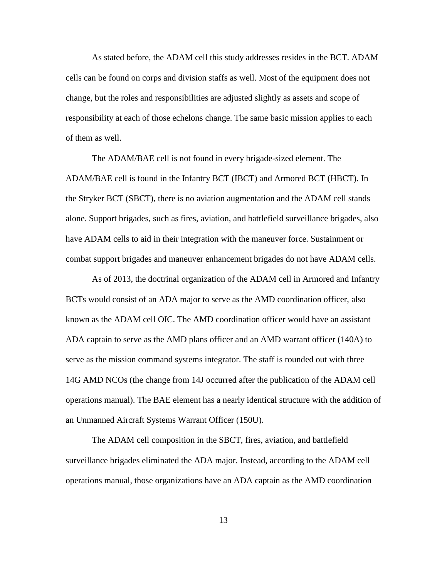As stated before, the ADAM cell this study addresses resides in the BCT. ADAM cells can be found on corps and division staffs as well. Most of the equipment does not change, but the roles and responsibilities are adjusted slightly as assets and scope of responsibility at each of those echelons change. The same basic mission applies to each of them as well.

The ADAM/BAE cell is not found in every brigade-sized element. The ADAM/BAE cell is found in the Infantry BCT (IBCT) and Armored BCT (HBCT). In the Stryker BCT (SBCT), there is no aviation augmentation and the ADAM cell stands alone. Support brigades, such as fires, aviation, and battlefield surveillance brigades, also have ADAM cells to aid in their integration with the maneuver force. Sustainment or combat support brigades and maneuver enhancement brigades do not have ADAM cells.

As of 2013, the doctrinal organization of the ADAM cell in Armored and Infantry BCTs would consist of an ADA major to serve as the AMD coordination officer, also known as the ADAM cell OIC. The AMD coordination officer would have an assistant ADA captain to serve as the AMD plans officer and an AMD warrant officer (140A) to serve as the mission command systems integrator. The staff is rounded out with three 14G AMD NCOs (the change from 14J occurred after the publication of the ADAM cell operations manual). The BAE element has a nearly identical structure with the addition of an Unmanned Aircraft Systems Warrant Officer (150U).

The ADAM cell composition in the SBCT, fires, aviation, and battlefield surveillance brigades eliminated the ADA major. Instead, according to the ADAM cell operations manual, those organizations have an ADA captain as the AMD coordination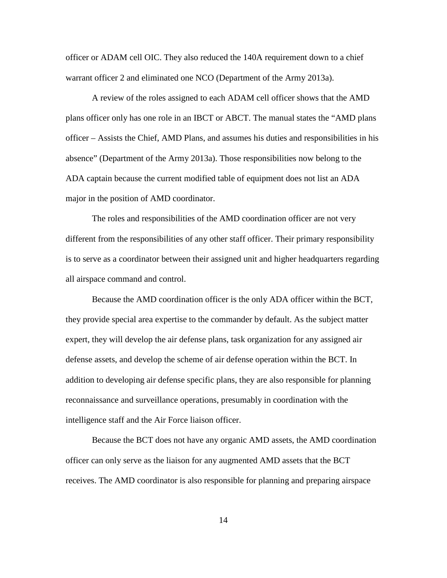officer or ADAM cell OIC. They also reduced the 140A requirement down to a chief warrant officer 2 and eliminated one NCO (Department of the Army 2013a).

A review of the roles assigned to each ADAM cell officer shows that the AMD plans officer only has one role in an IBCT or ABCT. The manual states the "AMD plans officer – Assists the Chief, AMD Plans, and assumes his duties and responsibilities in his absence" (Department of the Army 2013a). Those responsibilities now belong to the ADA captain because the current modified table of equipment does not list an ADA major in the position of AMD coordinator.

The roles and responsibilities of the AMD coordination officer are not very different from the responsibilities of any other staff officer. Their primary responsibility is to serve as a coordinator between their assigned unit and higher headquarters regarding all airspace command and control.

Because the AMD coordination officer is the only ADA officer within the BCT, they provide special area expertise to the commander by default. As the subject matter expert, they will develop the air defense plans, task organization for any assigned air defense assets, and develop the scheme of air defense operation within the BCT. In addition to developing air defense specific plans, they are also responsible for planning reconnaissance and surveillance operations, presumably in coordination with the intelligence staff and the Air Force liaison officer.

Because the BCT does not have any organic AMD assets, the AMD coordination officer can only serve as the liaison for any augmented AMD assets that the BCT receives. The AMD coordinator is also responsible for planning and preparing airspace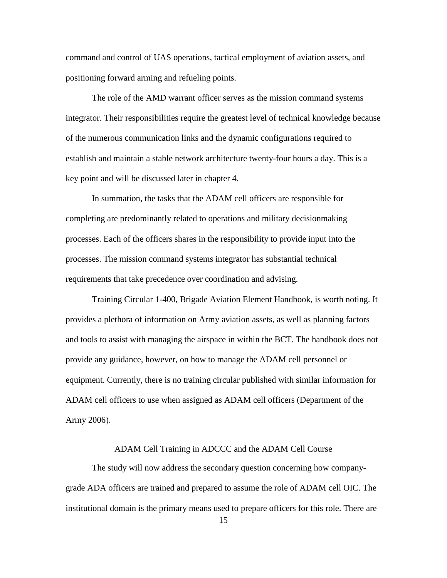command and control of UAS operations, tactical employment of aviation assets, and positioning forward arming and refueling points.

The role of the AMD warrant officer serves as the mission command systems integrator. Their responsibilities require the greatest level of technical knowledge because of the numerous communication links and the dynamic configurations required to establish and maintain a stable network architecture twenty-four hours a day. This is a key point and will be discussed later in chapter 4.

In summation, the tasks that the ADAM cell officers are responsible for completing are predominantly related to operations and military decisionmaking processes. Each of the officers shares in the responsibility to provide input into the processes. The mission command systems integrator has substantial technical requirements that take precedence over coordination and advising.

Training Circular 1-400, Brigade Aviation Element Handbook, is worth noting. It provides a plethora of information on Army aviation assets, as well as planning factors and tools to assist with managing the airspace in within the BCT. The handbook does not provide any guidance, however, on how to manage the ADAM cell personnel or equipment. Currently, there is no training circular published with similar information for ADAM cell officers to use when assigned as ADAM cell officers (Department of the Army 2006).

# ADAM Cell Training in ADCCC and the ADAM Cell Course

The study will now address the secondary question concerning how companygrade ADA officers are trained and prepared to assume the role of ADAM cell OIC. The institutional domain is the primary means used to prepare officers for this role. There are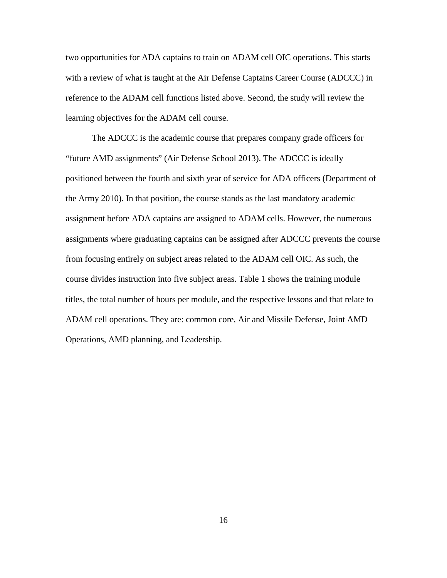two opportunities for ADA captains to train on ADAM cell OIC operations. This starts with a review of what is taught at the Air Defense Captains Career Course (ADCCC) in reference to the ADAM cell functions listed above. Second, the study will review the learning objectives for the ADAM cell course.

The ADCCC is the academic course that prepares company grade officers for "future AMD assignments" (Air Defense School 2013). The ADCCC is ideally positioned between the fourth and sixth year of service for ADA officers (Department of the Army 2010). In that position, the course stands as the last mandatory academic assignment before ADA captains are assigned to ADAM cells. However, the numerous assignments where graduating captains can be assigned after ADCCC prevents the course from focusing entirely on subject areas related to the ADAM cell OIC. As such, the course divides instruction into five subject areas. Table 1 shows the training module titles, the total number of hours per module, and the respective lessons and that relate to ADAM cell operations. They are: common core, Air and Missile Defense, Joint AMD Operations, AMD planning, and Leadership.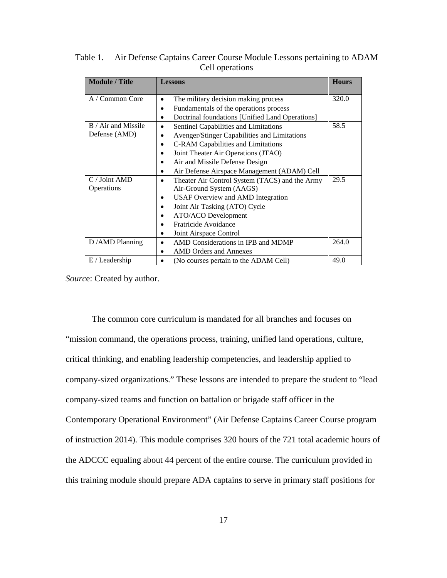| <b>Module / Title</b>                                        | <b>Lessons</b>                                  | <b>Hours</b> |
|--------------------------------------------------------------|-------------------------------------------------|--------------|
| A / Common Core<br>The military decision making process      |                                                 | 320.0        |
|                                                              | Fundamentals of the operations process          |              |
|                                                              | Doctrinal foundations [Unified Land Operations] |              |
| B / Air and Missile<br>Sentinel Capabilities and Limitations |                                                 | 58.5         |
| Defense (AMD)                                                | Avenger/Stinger Capabilities and Limitations    |              |
|                                                              | C-RAM Capabilities and Limitations              |              |
|                                                              | Joint Theater Air Operations (JTAO)             |              |
|                                                              | Air and Missile Defense Design                  |              |
|                                                              | Air Defense Airspace Management (ADAM) Cell     |              |
| $C /$ Joint AMD                                              | Theater Air Control System (TACS) and the Army  | 29.5         |
| Operations                                                   | Air-Ground System (AAGS)                        |              |
|                                                              | USAF Overview and AMD Integration               |              |
|                                                              | Joint Air Tasking (ATO) Cycle                   |              |
|                                                              | ATO/ACO Development                             |              |
|                                                              | Fratricide Avoidance                            |              |
|                                                              | Joint Airspace Control                          |              |
| D / AMD Planning                                             | AMD Considerations in IPB and MDMP              | 264.0        |
|                                                              | <b>AMD</b> Orders and Annexes                   |              |
| $E /$ Leadership                                             | (No courses pertain to the ADAM Cell)           | 49.0         |

Table 1. Air Defense Captains Career Course Module Lessons pertaining to ADAM Cell operations

*Sourc*e: Created by author.

The common core curriculum is mandated for all branches and focuses on "mission command, the operations process, training, unified land operations, culture, critical thinking, and enabling leadership competencies, and leadership applied to company-sized organizations." These lessons are intended to prepare the student to "lead company-sized teams and function on battalion or brigade staff officer in the Contemporary Operational Environment" (Air Defense Captains Career Course program of instruction 2014). This module comprises 320 hours of the 721 total academic hours of the ADCCC equaling about 44 percent of the entire course. The curriculum provided in this training module should prepare ADA captains to serve in primary staff positions for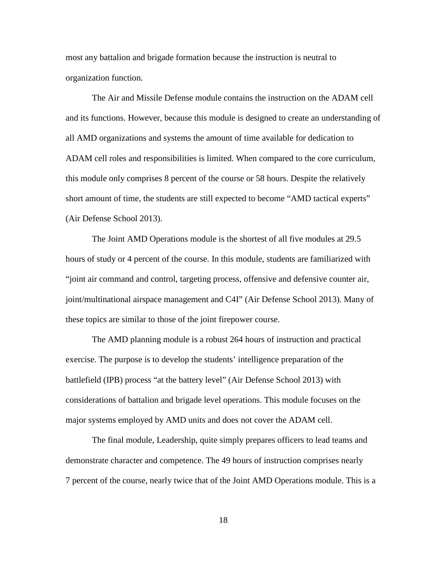most any battalion and brigade formation because the instruction is neutral to organization function.

The Air and Missile Defense module contains the instruction on the ADAM cell and its functions. However, because this module is designed to create an understanding of all AMD organizations and systems the amount of time available for dedication to ADAM cell roles and responsibilities is limited. When compared to the core curriculum, this module only comprises 8 percent of the course or 58 hours. Despite the relatively short amount of time, the students are still expected to become "AMD tactical experts" (Air Defense School 2013).

The Joint AMD Operations module is the shortest of all five modules at 29.5 hours of study or 4 percent of the course. In this module, students are familiarized with "joint air command and control, targeting process, offensive and defensive counter air, joint/multinational airspace management and C4I" (Air Defense School 2013). Many of these topics are similar to those of the joint firepower course.

The AMD planning module is a robust 264 hours of instruction and practical exercise. The purpose is to develop the students' intelligence preparation of the battlefield (IPB) process "at the battery level" (Air Defense School 2013) with considerations of battalion and brigade level operations. This module focuses on the major systems employed by AMD units and does not cover the ADAM cell.

The final module, Leadership, quite simply prepares officers to lead teams and demonstrate character and competence. The 49 hours of instruction comprises nearly 7 percent of the course, nearly twice that of the Joint AMD Operations module. This is a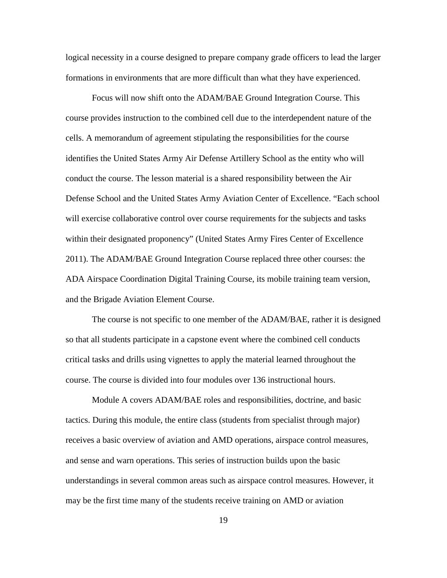logical necessity in a course designed to prepare company grade officers to lead the larger formations in environments that are more difficult than what they have experienced.

Focus will now shift onto the ADAM/BAE Ground Integration Course. This course provides instruction to the combined cell due to the interdependent nature of the cells. A memorandum of agreement stipulating the responsibilities for the course identifies the United States Army Air Defense Artillery School as the entity who will conduct the course. The lesson material is a shared responsibility between the Air Defense School and the United States Army Aviation Center of Excellence. "Each school will exercise collaborative control over course requirements for the subjects and tasks within their designated proponency" (United States Army Fires Center of Excellence 2011). The ADAM/BAE Ground Integration Course replaced three other courses: the ADA Airspace Coordination Digital Training Course, its mobile training team version, and the Brigade Aviation Element Course.

The course is not specific to one member of the ADAM/BAE, rather it is designed so that all students participate in a capstone event where the combined cell conducts critical tasks and drills using vignettes to apply the material learned throughout the course. The course is divided into four modules over 136 instructional hours.

Module A covers ADAM/BAE roles and responsibilities, doctrine, and basic tactics. During this module, the entire class (students from specialist through major) receives a basic overview of aviation and AMD operations, airspace control measures, and sense and warn operations. This series of instruction builds upon the basic understandings in several common areas such as airspace control measures. However, it may be the first time many of the students receive training on AMD or aviation

19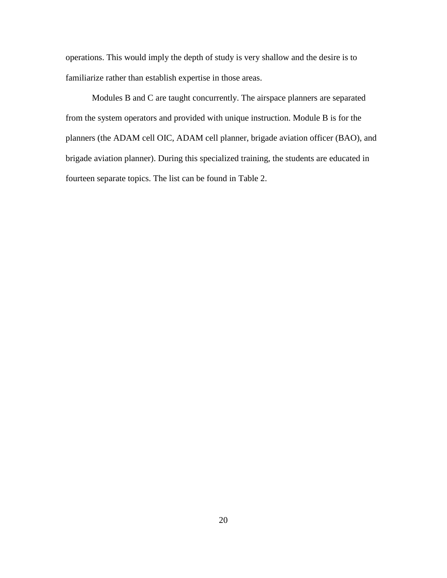operations. This would imply the depth of study is very shallow and the desire is to familiarize rather than establish expertise in those areas.

Modules B and C are taught concurrently. The airspace planners are separated from the system operators and provided with unique instruction. Module B is for the planners (the ADAM cell OIC, ADAM cell planner, brigade aviation officer (BAO), and brigade aviation planner). During this specialized training, the students are educated in fourteen separate topics. The list can be found in Table 2.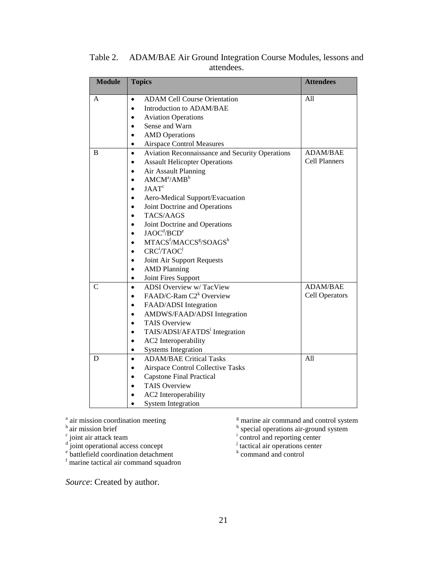| <b>Module</b> | <b>Topics</b>                                                       | <b>Attendees</b>      |
|---------------|---------------------------------------------------------------------|-----------------------|
| A             | <b>ADAM Cell Course Orientation</b>                                 | A11                   |
|               | Introduction to ADAM/BAE                                            |                       |
|               | <b>Aviation Operations</b>                                          |                       |
|               | Sense and Warn                                                      |                       |
|               | <b>AMD</b> Operations                                               |                       |
|               | <b>Airspace Control Measures</b>                                    |                       |
| B             | <b>Aviation Reconnaissance and Security Operations</b><br>$\bullet$ | <b>ADAM/BAE</b>       |
|               | <b>Assault Helicopter Operations</b>                                | <b>Cell Planners</b>  |
|               | Air Assault Planning                                                |                       |
|               | $AMCM^a/AMB^b$                                                      |                       |
|               | $JAAT^c$                                                            |                       |
|               | Aero-Medical Support/Evacuation                                     |                       |
|               | Joint Doctrine and Operations                                       |                       |
|               | TACS/AAGS                                                           |                       |
|               | Joint Doctrine and Operations                                       |                       |
|               | $J A O C^d / B C D^e$                                               |                       |
|               | MTACS <sup>f</sup> /MACCS <sup>g</sup> /SOAGS <sup>h</sup>          |                       |
|               | CRC <sup>i</sup> /TAOC <sup>j</sup>                                 |                       |
|               | Joint Air Support Requests                                          |                       |
|               | <b>AMD Planning</b>                                                 |                       |
|               | Joint Fires Support                                                 |                       |
| C             | <b>ADSI</b> Overview w/TacView<br>$\bullet$                         | <b>ADAM/BAE</b>       |
|               | FAAD/C-Ram C2 <sup>k</sup> Overview                                 | <b>Cell Operators</b> |
|               | FAAD/ADSI Integration                                               |                       |
|               | AMDWS/FAAD/ADSI Integration                                         |                       |
|               | <b>TAIS Overview</b>                                                |                       |
|               | TAIS/ADSI/AFATDS <sup>i</sup> Integration                           |                       |
|               | <b>AC2</b> Interoperability                                         |                       |
|               | <b>Systems Integration</b>                                          |                       |
| D             | <b>ADAM/BAE Critical Tasks</b><br>$\bullet$                         | All                   |
|               | <b>Airspace Control Collective Tasks</b><br>$\bullet$               |                       |
|               | <b>Capstone Final Practical</b><br>$\bullet$                        |                       |
|               | <b>TAIS Overview</b>                                                |                       |
|               | AC2 Interoperability                                                |                       |
|               | <b>System Integration</b>                                           |                       |

Table 2. ADAM/BAE Air Ground Integration Course Modules, lessons and attendees.

<sup>a</sup> air mission coordination meeting

### <sup>b</sup> air mission brief

<sup>c</sup> joint air attack team

<sup>d</sup> joint operational access concept

<sup>e</sup> battlefield coordination detachment

<sup>f</sup> marine tactical air command squadron

*Source*: Created by author.

<sup>g</sup> marine air command and control system

<sup>h</sup> special operations air-ground system<br>
<sup>i</sup> control and reporting center<br>
<sup>j</sup> tactical air operations center

 $k$  command and control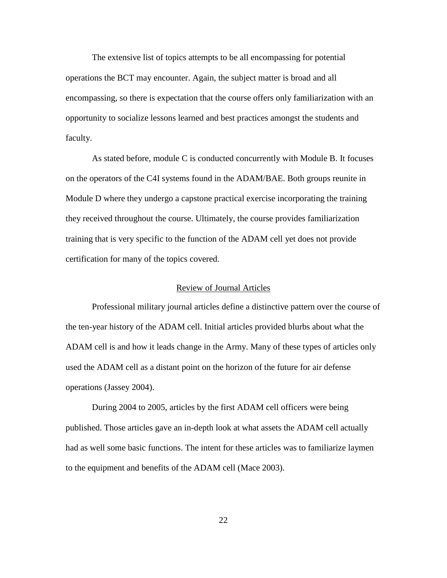The extensive list of topics attempts to be all encompassing for potential operations the BCT may encounter. Again, the subject matter is broad and all encompassing, so there is expectation that the course offers only familiarization with an opportunity to socialize lessons learned and best practices amongst the students and faculty.

As stated before, module C is conducted concurrently with Module B. It focuses on the operators of the C4I systems found in the ADAM/BAE. Both groups reunite in Module D where they undergo a capstone practical exercise incorporating the training they received throughout the course. Ultimately, the course provides familiarization training that is very specific to the function of the ADAM cell yet does not provide certification for many of the topics covered.

## Review of Journal Articles

Professional military journal articles define a distinctive pattern over the course of the ten-year history of the ADAM cell. Initial articles provided blurbs about what the ADAM cell is and how it leads change in the Army. Many of these types of articles only used the ADAM cell as a distant point on the horizon of the future for air defense operations (Jassey 2004).

During 2004 to 2005, articles by the first ADAM cell officers were being published. Those articles gave an in-depth look at what assets the ADAM cell actually had as well some basic functions. The intent for these articles was to familiarize laymen to the equipment and benefits of the ADAM cell (Mace 2003).

22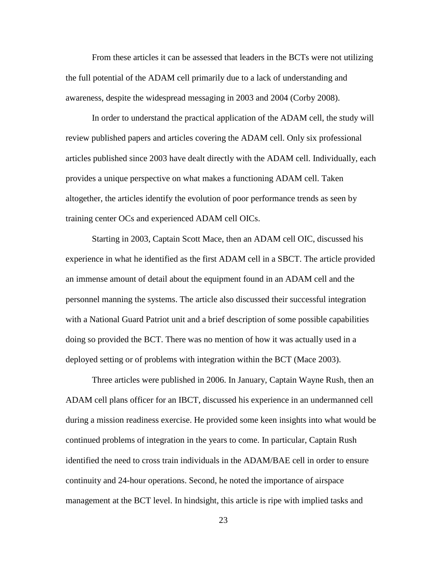From these articles it can be assessed that leaders in the BCTs were not utilizing the full potential of the ADAM cell primarily due to a lack of understanding and awareness, despite the widespread messaging in 2003 and 2004 (Corby 2008).

In order to understand the practical application of the ADAM cell, the study will review published papers and articles covering the ADAM cell. Only six professional articles published since 2003 have dealt directly with the ADAM cell. Individually, each provides a unique perspective on what makes a functioning ADAM cell. Taken altogether, the articles identify the evolution of poor performance trends as seen by training center OCs and experienced ADAM cell OICs.

Starting in 2003, Captain Scott Mace, then an ADAM cell OIC, discussed his experience in what he identified as the first ADAM cell in a SBCT. The article provided an immense amount of detail about the equipment found in an ADAM cell and the personnel manning the systems. The article also discussed their successful integration with a National Guard Patriot unit and a brief description of some possible capabilities doing so provided the BCT. There was no mention of how it was actually used in a deployed setting or of problems with integration within the BCT (Mace 2003).

Three articles were published in 2006. In January, Captain Wayne Rush, then an ADAM cell plans officer for an IBCT, discussed his experience in an undermanned cell during a mission readiness exercise. He provided some keen insights into what would be continued problems of integration in the years to come. In particular, Captain Rush identified the need to cross train individuals in the ADAM/BAE cell in order to ensure continuity and 24-hour operations. Second, he noted the importance of airspace management at the BCT level. In hindsight, this article is ripe with implied tasks and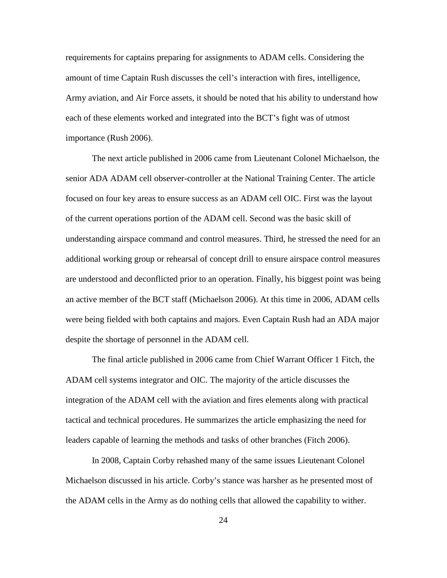requirements for captains preparing for assignments to ADAM cells. Considering the amount of time Captain Rush discusses the cell's interaction with fires, intelligence, Army aviation, and Air Force assets, it should be noted that his ability to understand how each of these elements worked and integrated into the BCT's fight was of utmost importance (Rush 2006).

The next article published in 2006 came from Lieutenant Colonel Michaelson, the senior ADA ADAM cell observer-controller at the National Training Center. The article focused on four key areas to ensure success as an ADAM cell OIC. First was the layout of the current operations portion of the ADAM cell. Second was the basic skill of understanding airspace command and control measures. Third, he stressed the need for an additional working group or rehearsal of concept drill to ensure airspace control measures are understood and deconflicted prior to an operation. Finally, his biggest point was being an active member of the BCT staff (Michaelson 2006). At this time in 2006, ADAM cells were being fielded with both captains and majors. Even Captain Rush had an ADA major despite the shortage of personnel in the ADAM cell.

The final article published in 2006 came from Chief Warrant Officer 1 Fitch, the ADAM cell systems integrator and OIC. The majority of the article discusses the integration of the ADAM cell with the aviation and fires elements along with practical tactical and technical procedures. He summarizes the article emphasizing the need for leaders capable of learning the methods and tasks of other branches (Fitch 2006).

In 2008, Captain Corby rehashed many of the same issues Lieutenant Colonel Michaelson discussed in his article. Corby's stance was harsher as he presented most of the ADAM cells in the Army as do nothing cells that allowed the capability to wither.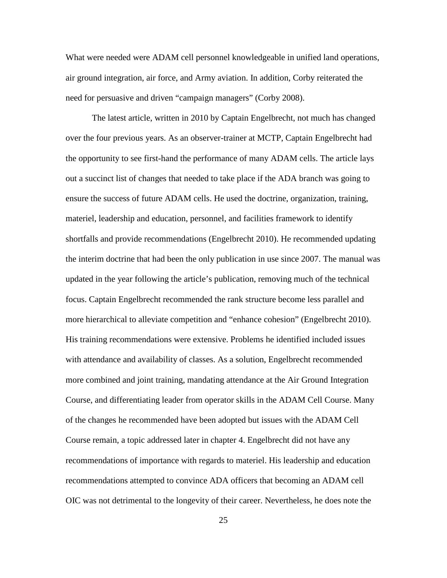What were needed were ADAM cell personnel knowledgeable in unified land operations, air ground integration, air force, and Army aviation. In addition, Corby reiterated the need for persuasive and driven "campaign managers" (Corby 2008).

The latest article, written in 2010 by Captain Engelbrecht, not much has changed over the four previous years. As an observer-trainer at MCTP, Captain Engelbrecht had the opportunity to see first-hand the performance of many ADAM cells. The article lays out a succinct list of changes that needed to take place if the ADA branch was going to ensure the success of future ADAM cells. He used the doctrine, organization, training, materiel, leadership and education, personnel, and facilities framework to identify shortfalls and provide recommendations (Engelbrecht 2010). He recommended updating the interim doctrine that had been the only publication in use since 2007. The manual was updated in the year following the article's publication, removing much of the technical focus. Captain Engelbrecht recommended the rank structure become less parallel and more hierarchical to alleviate competition and "enhance cohesion" (Engelbrecht 2010). His training recommendations were extensive. Problems he identified included issues with attendance and availability of classes. As a solution, Engelbrecht recommended more combined and joint training, mandating attendance at the Air Ground Integration Course, and differentiating leader from operator skills in the ADAM Cell Course. Many of the changes he recommended have been adopted but issues with the ADAM Cell Course remain, a topic addressed later in chapter 4. Engelbrecht did not have any recommendations of importance with regards to materiel. His leadership and education recommendations attempted to convince ADA officers that becoming an ADAM cell OIC was not detrimental to the longevity of their career. Nevertheless, he does note the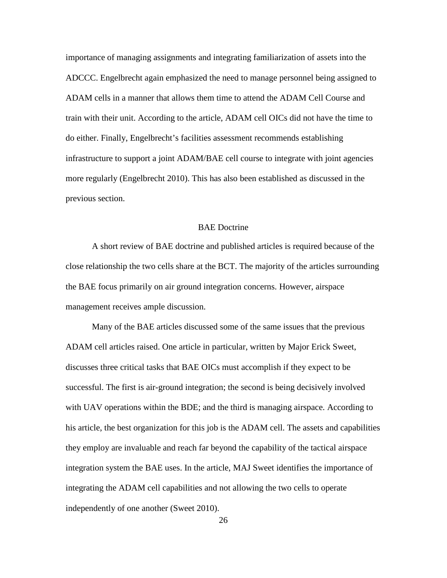importance of managing assignments and integrating familiarization of assets into the ADCCC. Engelbrecht again emphasized the need to manage personnel being assigned to ADAM cells in a manner that allows them time to attend the ADAM Cell Course and train with their unit. According to the article, ADAM cell OICs did not have the time to do either. Finally, Engelbrecht's facilities assessment recommends establishing infrastructure to support a joint ADAM/BAE cell course to integrate with joint agencies more regularly (Engelbrecht 2010). This has also been established as discussed in the previous section.

## BAE Doctrine

A short review of BAE doctrine and published articles is required because of the close relationship the two cells share at the BCT. The majority of the articles surrounding the BAE focus primarily on air ground integration concerns. However, airspace management receives ample discussion.

Many of the BAE articles discussed some of the same issues that the previous ADAM cell articles raised. One article in particular, written by Major Erick Sweet, discusses three critical tasks that BAE OICs must accomplish if they expect to be successful. The first is air-ground integration; the second is being decisively involved with UAV operations within the BDE; and the third is managing airspace. According to his article, the best organization for this job is the ADAM cell. The assets and capabilities they employ are invaluable and reach far beyond the capability of the tactical airspace integration system the BAE uses. In the article, MAJ Sweet identifies the importance of integrating the ADAM cell capabilities and not allowing the two cells to operate independently of one another (Sweet 2010).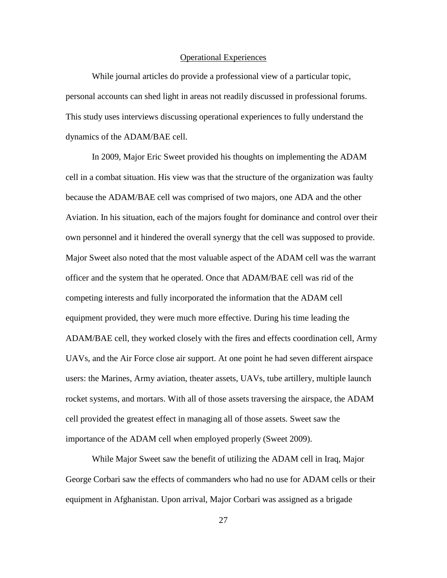## Operational Experiences

While journal articles do provide a professional view of a particular topic, personal accounts can shed light in areas not readily discussed in professional forums. This study uses interviews discussing operational experiences to fully understand the dynamics of the ADAM/BAE cell.

In 2009, Major Eric Sweet provided his thoughts on implementing the ADAM cell in a combat situation. His view was that the structure of the organization was faulty because the ADAM/BAE cell was comprised of two majors, one ADA and the other Aviation. In his situation, each of the majors fought for dominance and control over their own personnel and it hindered the overall synergy that the cell was supposed to provide. Major Sweet also noted that the most valuable aspect of the ADAM cell was the warrant officer and the system that he operated. Once that ADAM/BAE cell was rid of the competing interests and fully incorporated the information that the ADAM cell equipment provided, they were much more effective. During his time leading the ADAM/BAE cell, they worked closely with the fires and effects coordination cell, Army UAVs, and the Air Force close air support. At one point he had seven different airspace users: the Marines, Army aviation, theater assets, UAVs, tube artillery, multiple launch rocket systems, and mortars. With all of those assets traversing the airspace, the ADAM cell provided the greatest effect in managing all of those assets. Sweet saw the importance of the ADAM cell when employed properly (Sweet 2009).

While Major Sweet saw the benefit of utilizing the ADAM cell in Iraq, Major George Corbari saw the effects of commanders who had no use for ADAM cells or their equipment in Afghanistan. Upon arrival, Major Corbari was assigned as a brigade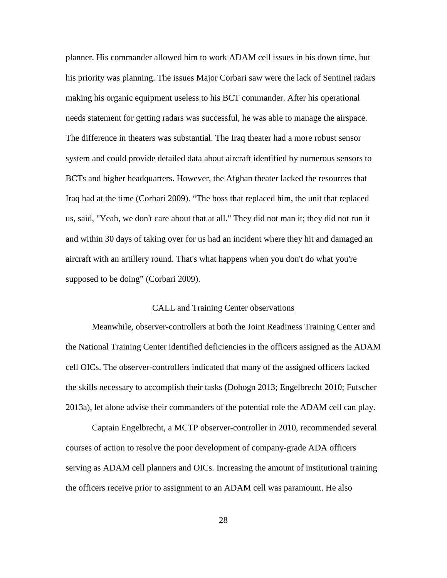planner. His commander allowed him to work ADAM cell issues in his down time, but his priority was planning. The issues Major Corbari saw were the lack of Sentinel radars making his organic equipment useless to his BCT commander. After his operational needs statement for getting radars was successful, he was able to manage the airspace. The difference in theaters was substantial. The Iraq theater had a more robust sensor system and could provide detailed data about aircraft identified by numerous sensors to BCTs and higher headquarters. However, the Afghan theater lacked the resources that Iraq had at the time (Corbari 2009). "The boss that replaced him, the unit that replaced us, said, "Yeah, we don't care about that at all." They did not man it; they did not run it and within 30 days of taking over for us had an incident where they hit and damaged an aircraft with an artillery round. That's what happens when you don't do what you're supposed to be doing" (Corbari 2009).

## CALL and Training Center observations

Meanwhile, observer-controllers at both the Joint Readiness Training Center and the National Training Center identified deficiencies in the officers assigned as the ADAM cell OICs. The observer-controllers indicated that many of the assigned officers lacked the skills necessary to accomplish their tasks (Dohogn 2013; Engelbrecht 2010; Futscher 2013a), let alone advise their commanders of the potential role the ADAM cell can play.

Captain Engelbrecht, a MCTP observer-controller in 2010, recommended several courses of action to resolve the poor development of company-grade ADA officers serving as ADAM cell planners and OICs. Increasing the amount of institutional training the officers receive prior to assignment to an ADAM cell was paramount. He also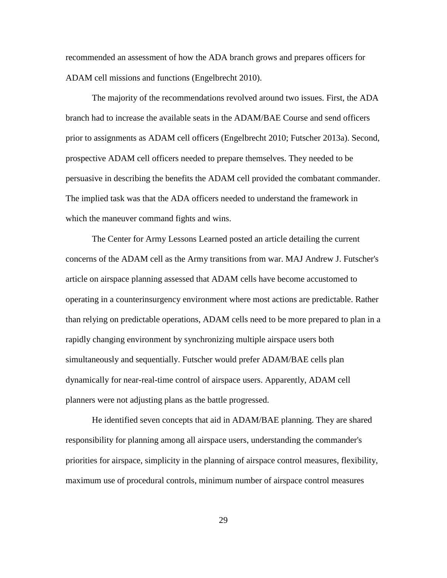recommended an assessment of how the ADA branch grows and prepares officers for ADAM cell missions and functions (Engelbrecht 2010).

The majority of the recommendations revolved around two issues. First, the ADA branch had to increase the available seats in the ADAM/BAE Course and send officers prior to assignments as ADAM cell officers (Engelbrecht 2010; Futscher 2013a). Second, prospective ADAM cell officers needed to prepare themselves. They needed to be persuasive in describing the benefits the ADAM cell provided the combatant commander. The implied task was that the ADA officers needed to understand the framework in which the maneuver command fights and wins.

The Center for Army Lessons Learned posted an article detailing the current concerns of the ADAM cell as the Army transitions from war. MAJ Andrew J. Futscher's article on airspace planning assessed that ADAM cells have become accustomed to operating in a counterinsurgency environment where most actions are predictable. Rather than relying on predictable operations, ADAM cells need to be more prepared to plan in a rapidly changing environment by synchronizing multiple airspace users both simultaneously and sequentially. Futscher would prefer ADAM/BAE cells plan dynamically for near-real-time control of airspace users. Apparently, ADAM cell planners were not adjusting plans as the battle progressed.

He identified seven concepts that aid in ADAM/BAE planning. They are shared responsibility for planning among all airspace users, understanding the commander's priorities for airspace, simplicity in the planning of airspace control measures, flexibility, maximum use of procedural controls, minimum number of airspace control measures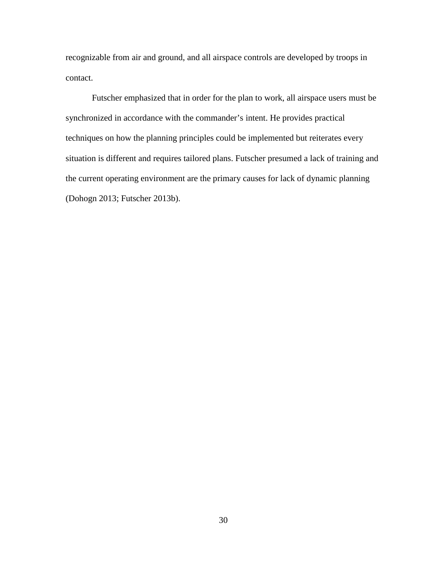recognizable from air and ground, and all airspace controls are developed by troops in contact.

Futscher emphasized that in order for the plan to work, all airspace users must be synchronized in accordance with the commander's intent. He provides practical techniques on how the planning principles could be implemented but reiterates every situation is different and requires tailored plans. Futscher presumed a lack of training and the current operating environment are the primary causes for lack of dynamic planning (Dohogn 2013; Futscher 2013b).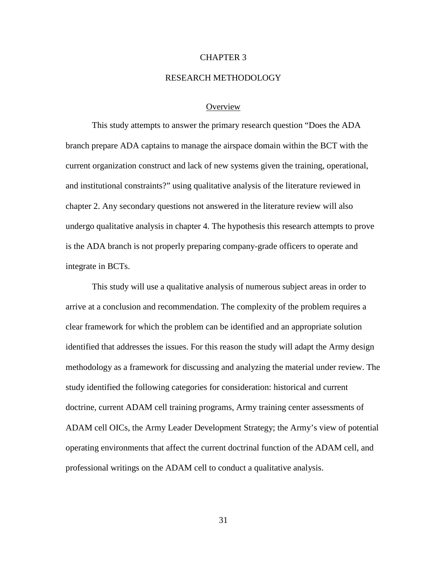## CHAPTER 3

#### RESEARCH METHODOLOGY

## **Overview**

This study attempts to answer the primary research question "Does the ADA branch prepare ADA captains to manage the airspace domain within the BCT with the current organization construct and lack of new systems given the training, operational, and institutional constraints?" using qualitative analysis of the literature reviewed in chapter 2. Any secondary questions not answered in the literature review will also undergo qualitative analysis in chapter 4. The hypothesis this research attempts to prove is the ADA branch is not properly preparing company-grade officers to operate and integrate in BCTs.

This study will use a qualitative analysis of numerous subject areas in order to arrive at a conclusion and recommendation. The complexity of the problem requires a clear framework for which the problem can be identified and an appropriate solution identified that addresses the issues. For this reason the study will adapt the Army design methodology as a framework for discussing and analyzing the material under review. The study identified the following categories for consideration: historical and current doctrine, current ADAM cell training programs, Army training center assessments of ADAM cell OICs, the Army Leader Development Strategy; the Army's view of potential operating environments that affect the current doctrinal function of the ADAM cell, and professional writings on the ADAM cell to conduct a qualitative analysis.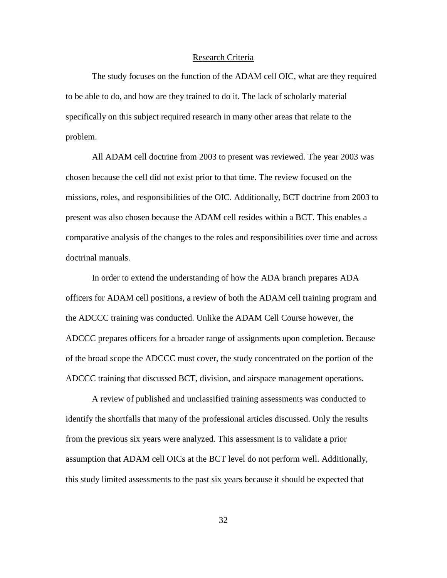#### Research Criteria

The study focuses on the function of the ADAM cell OIC, what are they required to be able to do, and how are they trained to do it. The lack of scholarly material specifically on this subject required research in many other areas that relate to the problem.

All ADAM cell doctrine from 2003 to present was reviewed. The year 2003 was chosen because the cell did not exist prior to that time. The review focused on the missions, roles, and responsibilities of the OIC. Additionally, BCT doctrine from 2003 to present was also chosen because the ADAM cell resides within a BCT. This enables a comparative analysis of the changes to the roles and responsibilities over time and across doctrinal manuals.

In order to extend the understanding of how the ADA branch prepares ADA officers for ADAM cell positions, a review of both the ADAM cell training program and the ADCCC training was conducted. Unlike the ADAM Cell Course however, the ADCCC prepares officers for a broader range of assignments upon completion. Because of the broad scope the ADCCC must cover, the study concentrated on the portion of the ADCCC training that discussed BCT, division, and airspace management operations.

A review of published and unclassified training assessments was conducted to identify the shortfalls that many of the professional articles discussed. Only the results from the previous six years were analyzed. This assessment is to validate a prior assumption that ADAM cell OICs at the BCT level do not perform well. Additionally, this study limited assessments to the past six years because it should be expected that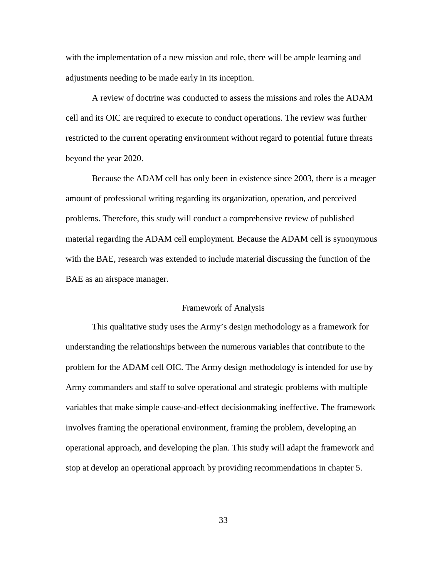with the implementation of a new mission and role, there will be ample learning and adjustments needing to be made early in its inception.

A review of doctrine was conducted to assess the missions and roles the ADAM cell and its OIC are required to execute to conduct operations. The review was further restricted to the current operating environment without regard to potential future threats beyond the year 2020.

Because the ADAM cell has only been in existence since 2003, there is a meager amount of professional writing regarding its organization, operation, and perceived problems. Therefore, this study will conduct a comprehensive review of published material regarding the ADAM cell employment. Because the ADAM cell is synonymous with the BAE, research was extended to include material discussing the function of the BAE as an airspace manager.

## Framework of Analysis

This qualitative study uses the Army's design methodology as a framework for understanding the relationships between the numerous variables that contribute to the problem for the ADAM cell OIC. The Army design methodology is intended for use by Army commanders and staff to solve operational and strategic problems with multiple variables that make simple cause-and-effect decisionmaking ineffective. The framework involves framing the operational environment, framing the problem, developing an operational approach, and developing the plan. This study will adapt the framework and stop at develop an operational approach by providing recommendations in chapter 5.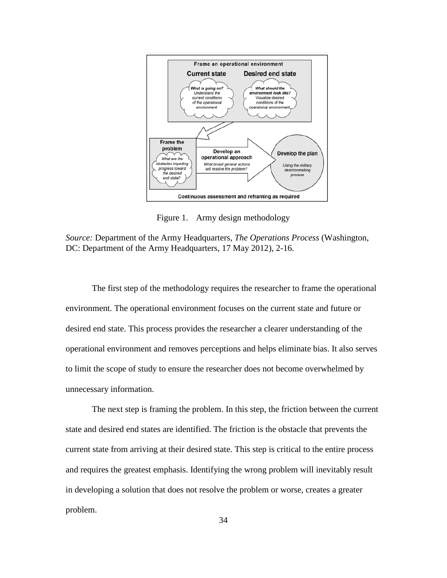

Figure 1. Army design methodology

*Source:* Department of the Army Headquarters, *The Operations Process* (Washington, DC: Department of the Army Headquarters, 17 May 2012), 2-16.

The first step of the methodology requires the researcher to frame the operational environment. The operational environment focuses on the current state and future or desired end state. This process provides the researcher a clearer understanding of the operational environment and removes perceptions and helps eliminate bias. It also serves to limit the scope of study to ensure the researcher does not become overwhelmed by unnecessary information.

The next step is framing the problem. In this step, the friction between the current state and desired end states are identified. The friction is the obstacle that prevents the current state from arriving at their desired state. This step is critical to the entire process and requires the greatest emphasis. Identifying the wrong problem will inevitably result in developing a solution that does not resolve the problem or worse, creates a greater problem.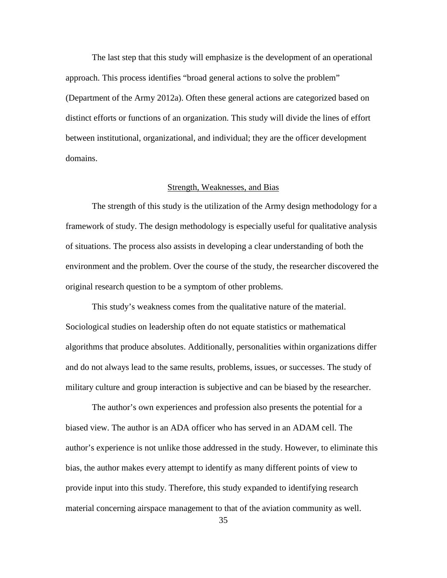The last step that this study will emphasize is the development of an operational approach. This process identifies "broad general actions to solve the problem" (Department of the Army 2012a). Often these general actions are categorized based on distinct efforts or functions of an organization. This study will divide the lines of effort between institutional, organizational, and individual; they are the officer development domains.

## Strength, Weaknesses, and Bias

The strength of this study is the utilization of the Army design methodology for a framework of study. The design methodology is especially useful for qualitative analysis of situations. The process also assists in developing a clear understanding of both the environment and the problem. Over the course of the study, the researcher discovered the original research question to be a symptom of other problems.

This study's weakness comes from the qualitative nature of the material. Sociological studies on leadership often do not equate statistics or mathematical algorithms that produce absolutes. Additionally, personalities within organizations differ and do not always lead to the same results, problems, issues, or successes. The study of military culture and group interaction is subjective and can be biased by the researcher.

The author's own experiences and profession also presents the potential for a biased view. The author is an ADA officer who has served in an ADAM cell. The author's experience is not unlike those addressed in the study. However, to eliminate this bias, the author makes every attempt to identify as many different points of view to provide input into this study. Therefore, this study expanded to identifying research material concerning airspace management to that of the aviation community as well.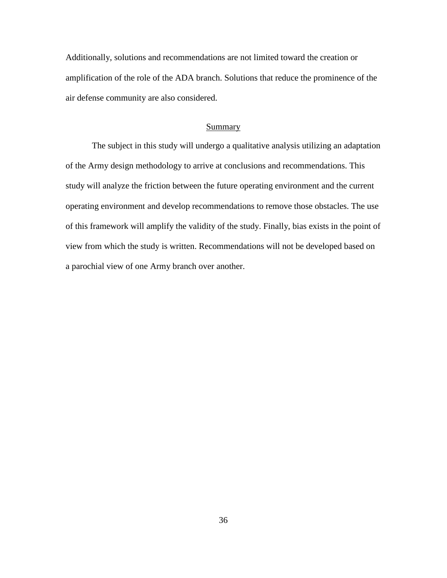Additionally, solutions and recommendations are not limited toward the creation or amplification of the role of the ADA branch. Solutions that reduce the prominence of the air defense community are also considered.

#### Summary

The subject in this study will undergo a qualitative analysis utilizing an adaptation of the Army design methodology to arrive at conclusions and recommendations. This study will analyze the friction between the future operating environment and the current operating environment and develop recommendations to remove those obstacles. The use of this framework will amplify the validity of the study. Finally, bias exists in the point of view from which the study is written. Recommendations will not be developed based on a parochial view of one Army branch over another.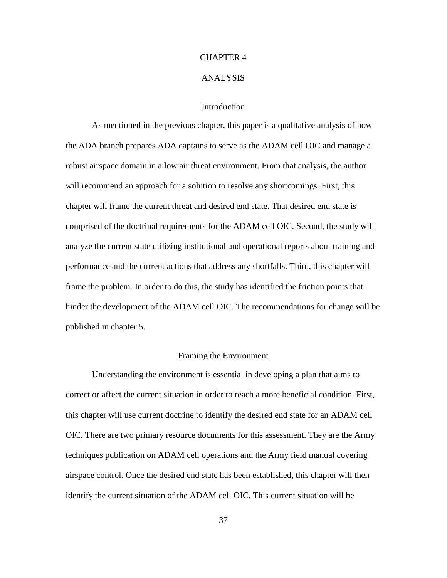# CHAPTER 4

#### ANALYSIS

# Introduction

As mentioned in the previous chapter, this paper is a qualitative analysis of how the ADA branch prepares ADA captains to serve as the ADAM cell OIC and manage a robust airspace domain in a low air threat environment. From that analysis, the author will recommend an approach for a solution to resolve any shortcomings. First, this chapter will frame the current threat and desired end state. That desired end state is comprised of the doctrinal requirements for the ADAM cell OIC. Second, the study will analyze the current state utilizing institutional and operational reports about training and performance and the current actions that address any shortfalls. Third, this chapter will frame the problem. In order to do this, the study has identified the friction points that hinder the development of the ADAM cell OIC. The recommendations for change will be published in chapter 5.

# Framing the Environment

Understanding the environment is essential in developing a plan that aims to correct or affect the current situation in order to reach a more beneficial condition. First, this chapter will use current doctrine to identify the desired end state for an ADAM cell OIC. There are two primary resource documents for this assessment. They are the Army techniques publication on ADAM cell operations and the Army field manual covering airspace control. Once the desired end state has been established, this chapter will then identify the current situation of the ADAM cell OIC. This current situation will be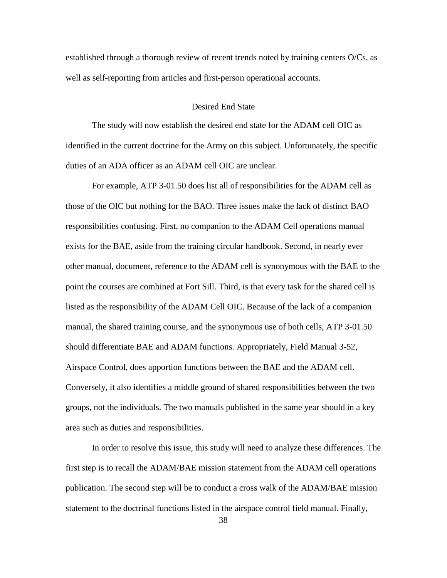established through a thorough review of recent trends noted by training centers O/Cs, as well as self-reporting from articles and first-person operational accounts.

## Desired End State

The study will now establish the desired end state for the ADAM cell OIC as identified in the current doctrine for the Army on this subject. Unfortunately, the specific duties of an ADA officer as an ADAM cell OIC are unclear.

For example, ATP 3-01.50 does list all of responsibilities for the ADAM cell as those of the OIC but nothing for the BAO. Three issues make the lack of distinct BAO responsibilities confusing. First, no companion to the ADAM Cell operations manual exists for the BAE, aside from the training circular handbook. Second, in nearly ever other manual, document, reference to the ADAM cell is synonymous with the BAE to the point the courses are combined at Fort Sill. Third, is that every task for the shared cell is listed as the responsibility of the ADAM Cell OIC. Because of the lack of a companion manual, the shared training course, and the synonymous use of both cells, ATP 3-01.50 should differentiate BAE and ADAM functions. Appropriately, Field Manual 3-52, Airspace Control, does apportion functions between the BAE and the ADAM cell. Conversely, it also identifies a middle ground of shared responsibilities between the two groups, not the individuals. The two manuals published in the same year should in a key area such as duties and responsibilities.

In order to resolve this issue, this study will need to analyze these differences. The first step is to recall the ADAM/BAE mission statement from the ADAM cell operations publication. The second step will be to conduct a cross walk of the ADAM/BAE mission statement to the doctrinal functions listed in the airspace control field manual. Finally,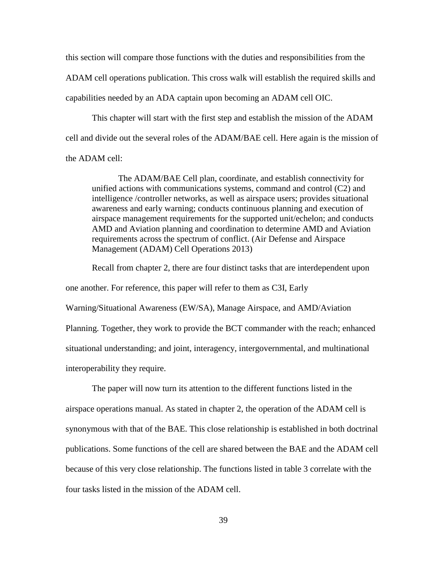this section will compare those functions with the duties and responsibilities from the ADAM cell operations publication. This cross walk will establish the required skills and capabilities needed by an ADA captain upon becoming an ADAM cell OIC.

This chapter will start with the first step and establish the mission of the ADAM cell and divide out the several roles of the ADAM/BAE cell. Here again is the mission of the ADAM cell:

The ADAM/BAE Cell plan, coordinate, and establish connectivity for unified actions with communications systems, command and control (C2) and intelligence /controller networks, as well as airspace users; provides situational awareness and early warning; conducts continuous planning and execution of airspace management requirements for the supported unit/echelon; and conducts AMD and Aviation planning and coordination to determine AMD and Aviation requirements across the spectrum of conflict. (Air Defense and Airspace Management (ADAM) Cell Operations 2013)

Recall from chapter 2, there are four distinct tasks that are interdependent upon one another. For reference, this paper will refer to them as C3I, Early Warning/Situational Awareness (EW/SA), Manage Airspace, and AMD/Aviation Planning. Together, they work to provide the BCT commander with the reach; enhanced situational understanding; and joint, interagency, intergovernmental, and multinational interoperability they require.

The paper will now turn its attention to the different functions listed in the airspace operations manual. As stated in chapter 2, the operation of the ADAM cell is synonymous with that of the BAE. This close relationship is established in both doctrinal publications. Some functions of the cell are shared between the BAE and the ADAM cell because of this very close relationship. The functions listed in table 3 correlate with the four tasks listed in the mission of the ADAM cell.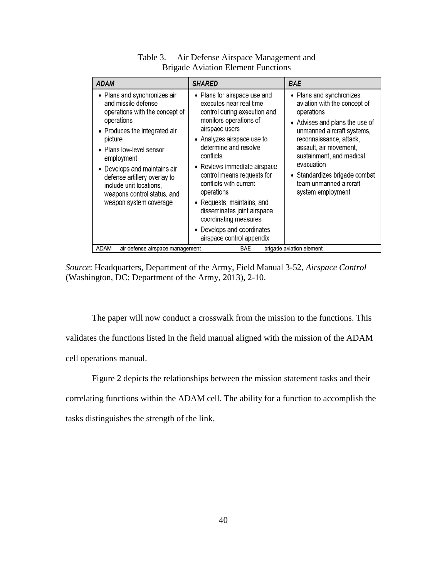| <b>ADAM</b>                                                                                                                                                                                                                                                                                                                                   | <b>SHARED</b>                                                                                                                                                                                                                                                                                                                                                                                                                                                  | <b>BAE</b>                                                                                                                                                                                                                                                                                                            |  |  |  |  |  |  |  |
|-----------------------------------------------------------------------------------------------------------------------------------------------------------------------------------------------------------------------------------------------------------------------------------------------------------------------------------------------|----------------------------------------------------------------------------------------------------------------------------------------------------------------------------------------------------------------------------------------------------------------------------------------------------------------------------------------------------------------------------------------------------------------------------------------------------------------|-----------------------------------------------------------------------------------------------------------------------------------------------------------------------------------------------------------------------------------------------------------------------------------------------------------------------|--|--|--|--|--|--|--|
| • Plans and synchronizes air<br>and missile defense<br>operations with the concept of<br>operations<br>• Produces the integrated air<br>picture<br>• Plans low-level sensor<br>employment<br>• Develops and maintains air<br>defense artillery overlay to<br>include unit locations,<br>weapons control status, and<br>weapon system coverage | • Plans for airspace use and<br>executes near real time<br>control during execution and<br>monitors operations of<br>airspace users<br>• Analyzes airspace use to<br>determine and resolve<br>conflicts<br>• Reviews immediate airspace<br>control means requests for<br>conflicts with current<br>operations<br>• Requests, maintains, and<br>disseminates joint airspace<br>coordinating measures<br>• Develops and coordinates<br>airspace control appendix | • Plans and synchronizes<br>aviation with the concept of<br>operations<br>• Advises and plans the use of<br>unmanned aircraft systems,<br>reconnaissance, attack,<br>assault, air movement,<br>sustainment, and medical<br>evacuation<br>• Standardizes brigade combat<br>team unmanned aircraft<br>system employment |  |  |  |  |  |  |  |
| ADAM<br><b>BAE</b><br>brigade aviation element<br>air defense airspace management                                                                                                                                                                                                                                                             |                                                                                                                                                                                                                                                                                                                                                                                                                                                                |                                                                                                                                                                                                                                                                                                                       |  |  |  |  |  |  |  |

Table 3. Air Defense Airspace Management and Brigade Aviation Element Functions

*Source*: Headquarters, Department of the Army, Field Manual 3-52, *Airspace Control* (Washington, DC: Department of the Army, 2013), 2-10.

The paper will now conduct a crosswalk from the mission to the functions. This validates the functions listed in the field manual aligned with the mission of the ADAM cell operations manual.

Figure 2 depicts the relationships between the mission statement tasks and their correlating functions within the ADAM cell. The ability for a function to accomplish the tasks distinguishes the strength of the link.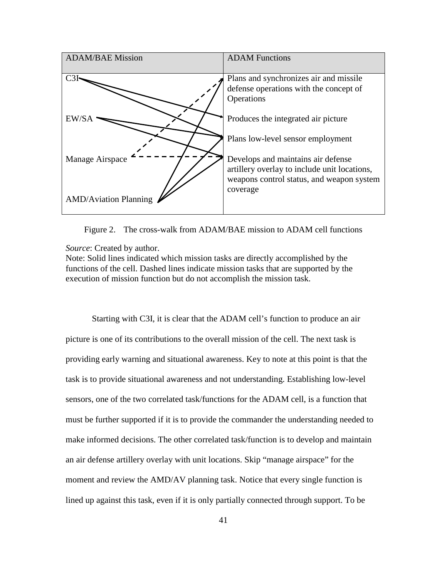

Figure 2. The cross-walk from ADAM/BAE mission to ADAM cell functions

*Source*: Created by author.

Note: Solid lines indicated which mission tasks are directly accomplished by the functions of the cell. Dashed lines indicate mission tasks that are supported by the execution of mission function but do not accomplish the mission task.

Starting with C3I, it is clear that the ADAM cell's function to produce an air picture is one of its contributions to the overall mission of the cell. The next task is providing early warning and situational awareness. Key to note at this point is that the task is to provide situational awareness and not understanding. Establishing low-level sensors, one of the two correlated task/functions for the ADAM cell, is a function that must be further supported if it is to provide the commander the understanding needed to make informed decisions. The other correlated task/function is to develop and maintain an air defense artillery overlay with unit locations. Skip "manage airspace" for the moment and review the AMD/AV planning task. Notice that every single function is lined up against this task, even if it is only partially connected through support. To be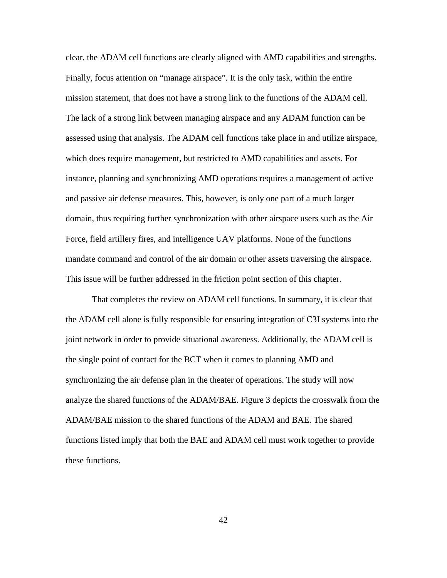clear, the ADAM cell functions are clearly aligned with AMD capabilities and strengths. Finally, focus attention on "manage airspace". It is the only task, within the entire mission statement, that does not have a strong link to the functions of the ADAM cell. The lack of a strong link between managing airspace and any ADAM function can be assessed using that analysis. The ADAM cell functions take place in and utilize airspace, which does require management, but restricted to AMD capabilities and assets. For instance, planning and synchronizing AMD operations requires a management of active and passive air defense measures. This, however, is only one part of a much larger domain, thus requiring further synchronization with other airspace users such as the Air Force, field artillery fires, and intelligence UAV platforms. None of the functions mandate command and control of the air domain or other assets traversing the airspace. This issue will be further addressed in the friction point section of this chapter.

That completes the review on ADAM cell functions. In summary, it is clear that the ADAM cell alone is fully responsible for ensuring integration of C3I systems into the joint network in order to provide situational awareness. Additionally, the ADAM cell is the single point of contact for the BCT when it comes to planning AMD and synchronizing the air defense plan in the theater of operations. The study will now analyze the shared functions of the ADAM/BAE. Figure 3 depicts the crosswalk from the ADAM/BAE mission to the shared functions of the ADAM and BAE. The shared functions listed imply that both the BAE and ADAM cell must work together to provide these functions.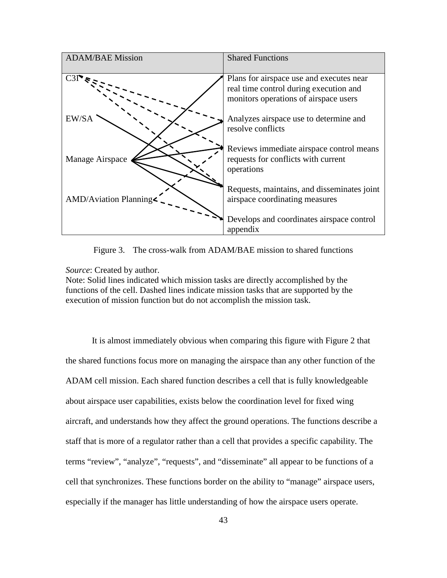

Figure 3. The cross-walk from ADAM/BAE mission to shared functions

*Source*: Created by author.

Note: Solid lines indicated which mission tasks are directly accomplished by the functions of the cell. Dashed lines indicate mission tasks that are supported by the execution of mission function but do not accomplish the mission task.

It is almost immediately obvious when comparing this figure with Figure 2 that the shared functions focus more on managing the airspace than any other function of the ADAM cell mission. Each shared function describes a cell that is fully knowledgeable about airspace user capabilities, exists below the coordination level for fixed wing aircraft, and understands how they affect the ground operations. The functions describe a staff that is more of a regulator rather than a cell that provides a specific capability. The terms "review", "analyze", "requests", and "disseminate" all appear to be functions of a cell that synchronizes. These functions border on the ability to "manage" airspace users, especially if the manager has little understanding of how the airspace users operate.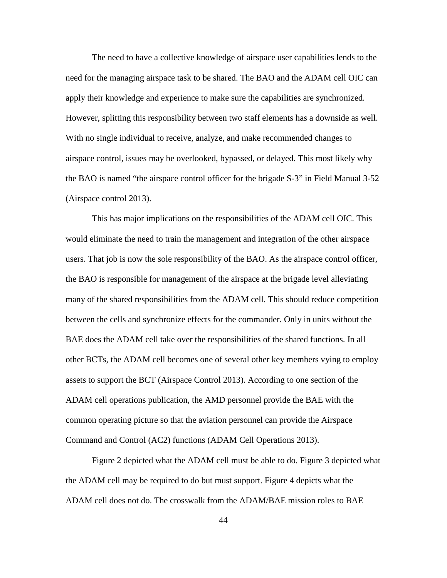The need to have a collective knowledge of airspace user capabilities lends to the need for the managing airspace task to be shared. The BAO and the ADAM cell OIC can apply their knowledge and experience to make sure the capabilities are synchronized. However, splitting this responsibility between two staff elements has a downside as well. With no single individual to receive, analyze, and make recommended changes to airspace control, issues may be overlooked, bypassed, or delayed. This most likely why the BAO is named "the airspace control officer for the brigade S-3" in Field Manual 3-52 (Airspace control 2013).

This has major implications on the responsibilities of the ADAM cell OIC. This would eliminate the need to train the management and integration of the other airspace users. That job is now the sole responsibility of the BAO. As the airspace control officer, the BAO is responsible for management of the airspace at the brigade level alleviating many of the shared responsibilities from the ADAM cell. This should reduce competition between the cells and synchronize effects for the commander. Only in units without the BAE does the ADAM cell take over the responsibilities of the shared functions. In all other BCTs, the ADAM cell becomes one of several other key members vying to employ assets to support the BCT (Airspace Control 2013). According to one section of the ADAM cell operations publication, the AMD personnel provide the BAE with the common operating picture so that the aviation personnel can provide the Airspace Command and Control (AC2) functions (ADAM Cell Operations 2013).

Figure 2 depicted what the ADAM cell must be able to do. Figure 3 depicted what the ADAM cell may be required to do but must support. Figure 4 depicts what the ADAM cell does not do. The crosswalk from the ADAM/BAE mission roles to BAE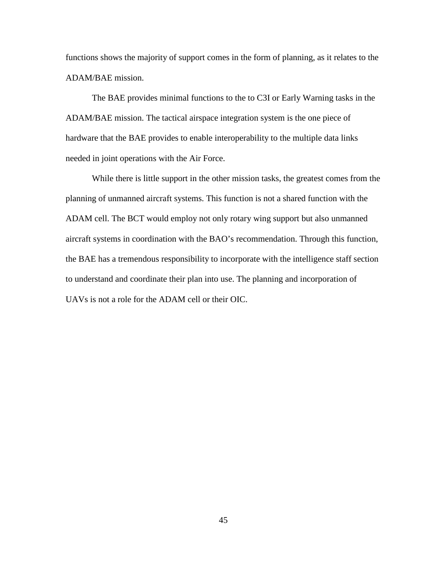functions shows the majority of support comes in the form of planning, as it relates to the ADAM/BAE mission.

The BAE provides minimal functions to the to C3I or Early Warning tasks in the ADAM/BAE mission. The tactical airspace integration system is the one piece of hardware that the BAE provides to enable interoperability to the multiple data links needed in joint operations with the Air Force.

While there is little support in the other mission tasks, the greatest comes from the planning of unmanned aircraft systems. This function is not a shared function with the ADAM cell. The BCT would employ not only rotary wing support but also unmanned aircraft systems in coordination with the BAO's recommendation. Through this function, the BAE has a tremendous responsibility to incorporate with the intelligence staff section to understand and coordinate their plan into use. The planning and incorporation of UAVs is not a role for the ADAM cell or their OIC.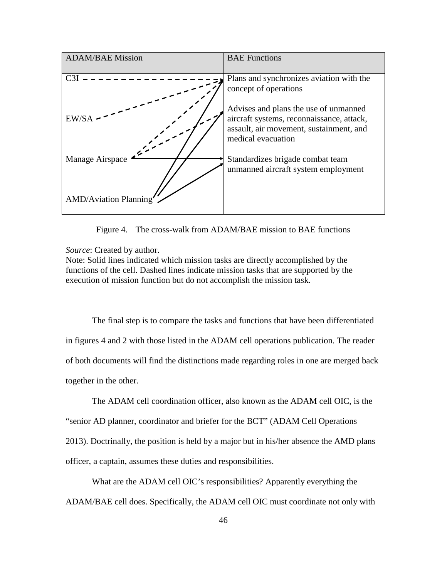

Figure 4. The cross-walk from ADAM/BAE mission to BAE functions

*Source*: Created by author.

Note: Solid lines indicated which mission tasks are directly accomplished by the functions of the cell. Dashed lines indicate mission tasks that are supported by the execution of mission function but do not accomplish the mission task.

The final step is to compare the tasks and functions that have been differentiated in figures 4 and 2 with those listed in the ADAM cell operations publication. The reader of both documents will find the distinctions made regarding roles in one are merged back together in the other.

The ADAM cell coordination officer, also known as the ADAM cell OIC, is the "senior AD planner, coordinator and briefer for the BCT" (ADAM Cell Operations 2013). Doctrinally, the position is held by a major but in his/her absence the AMD plans officer, a captain, assumes these duties and responsibilities.

What are the ADAM cell OIC's responsibilities? Apparently everything the ADAM/BAE cell does. Specifically, the ADAM cell OIC must coordinate not only with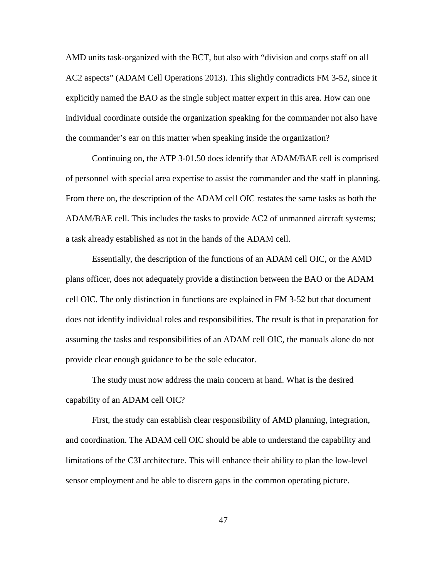AMD units task-organized with the BCT, but also with "division and corps staff on all AC2 aspects" (ADAM Cell Operations 2013). This slightly contradicts FM 3-52, since it explicitly named the BAO as the single subject matter expert in this area. How can one individual coordinate outside the organization speaking for the commander not also have the commander's ear on this matter when speaking inside the organization?

Continuing on, the ATP 3-01.50 does identify that ADAM/BAE cell is comprised of personnel with special area expertise to assist the commander and the staff in planning. From there on, the description of the ADAM cell OIC restates the same tasks as both the ADAM/BAE cell. This includes the tasks to provide AC2 of unmanned aircraft systems; a task already established as not in the hands of the ADAM cell.

Essentially, the description of the functions of an ADAM cell OIC, or the AMD plans officer, does not adequately provide a distinction between the BAO or the ADAM cell OIC. The only distinction in functions are explained in FM 3-52 but that document does not identify individual roles and responsibilities. The result is that in preparation for assuming the tasks and responsibilities of an ADAM cell OIC, the manuals alone do not provide clear enough guidance to be the sole educator.

The study must now address the main concern at hand. What is the desired capability of an ADAM cell OIC?

First, the study can establish clear responsibility of AMD planning, integration, and coordination. The ADAM cell OIC should be able to understand the capability and limitations of the C3I architecture. This will enhance their ability to plan the low-level sensor employment and be able to discern gaps in the common operating picture.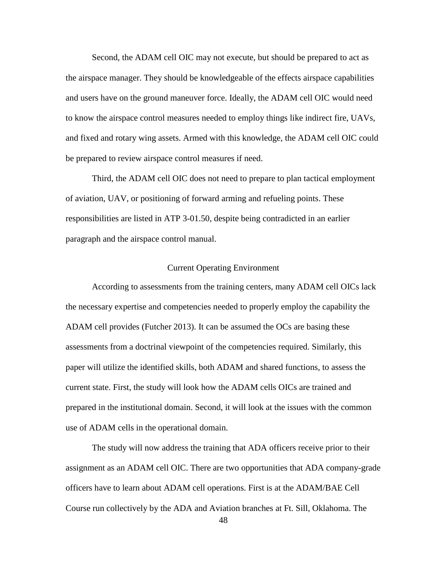Second, the ADAM cell OIC may not execute, but should be prepared to act as the airspace manager. They should be knowledgeable of the effects airspace capabilities and users have on the ground maneuver force. Ideally, the ADAM cell OIC would need to know the airspace control measures needed to employ things like indirect fire, UAVs, and fixed and rotary wing assets. Armed with this knowledge, the ADAM cell OIC could be prepared to review airspace control measures if need.

Third, the ADAM cell OIC does not need to prepare to plan tactical employment of aviation, UAV, or positioning of forward arming and refueling points. These responsibilities are listed in ATP 3-01.50, despite being contradicted in an earlier paragraph and the airspace control manual.

## Current Operating Environment

According to assessments from the training centers, many ADAM cell OICs lack the necessary expertise and competencies needed to properly employ the capability the ADAM cell provides (Futcher 2013). It can be assumed the OCs are basing these assessments from a doctrinal viewpoint of the competencies required. Similarly, this paper will utilize the identified skills, both ADAM and shared functions, to assess the current state. First, the study will look how the ADAM cells OICs are trained and prepared in the institutional domain. Second, it will look at the issues with the common use of ADAM cells in the operational domain.

The study will now address the training that ADA officers receive prior to their assignment as an ADAM cell OIC. There are two opportunities that ADA company-grade officers have to learn about ADAM cell operations. First is at the ADAM/BAE Cell Course run collectively by the ADA and Aviation branches at Ft. Sill, Oklahoma. The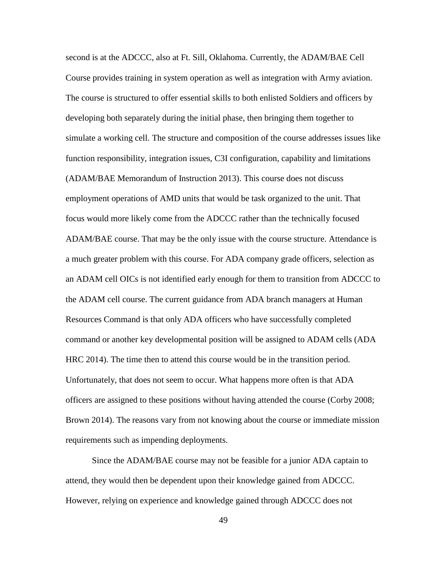second is at the ADCCC, also at Ft. Sill, Oklahoma. Currently, the ADAM/BAE Cell Course provides training in system operation as well as integration with Army aviation. The course is structured to offer essential skills to both enlisted Soldiers and officers by developing both separately during the initial phase, then bringing them together to simulate a working cell. The structure and composition of the course addresses issues like function responsibility, integration issues, C3I configuration, capability and limitations (ADAM/BAE Memorandum of Instruction 2013). This course does not discuss employment operations of AMD units that would be task organized to the unit. That focus would more likely come from the ADCCC rather than the technically focused ADAM/BAE course. That may be the only issue with the course structure. Attendance is a much greater problem with this course. For ADA company grade officers, selection as an ADAM cell OICs is not identified early enough for them to transition from ADCCC to the ADAM cell course. The current guidance from ADA branch managers at Human Resources Command is that only ADA officers who have successfully completed command or another key developmental position will be assigned to ADAM cells (ADA HRC 2014). The time then to attend this course would be in the transition period. Unfortunately, that does not seem to occur. What happens more often is that ADA officers are assigned to these positions without having attended the course (Corby 2008; Brown 2014). The reasons vary from not knowing about the course or immediate mission requirements such as impending deployments.

Since the ADAM/BAE course may not be feasible for a junior ADA captain to attend, they would then be dependent upon their knowledge gained from ADCCC. However, relying on experience and knowledge gained through ADCCC does not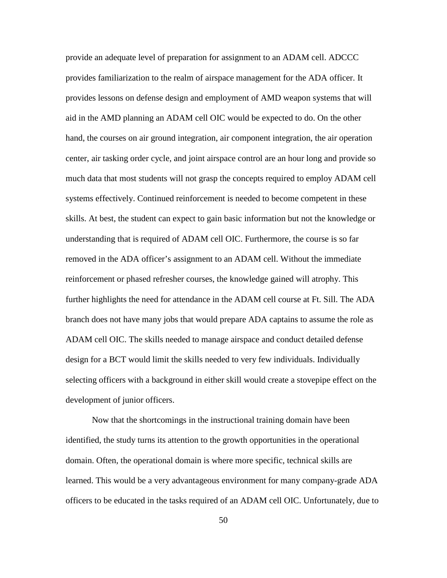provide an adequate level of preparation for assignment to an ADAM cell. ADCCC provides familiarization to the realm of airspace management for the ADA officer. It provides lessons on defense design and employment of AMD weapon systems that will aid in the AMD planning an ADAM cell OIC would be expected to do. On the other hand, the courses on air ground integration, air component integration, the air operation center, air tasking order cycle, and joint airspace control are an hour long and provide so much data that most students will not grasp the concepts required to employ ADAM cell systems effectively. Continued reinforcement is needed to become competent in these skills. At best, the student can expect to gain basic information but not the knowledge or understanding that is required of ADAM cell OIC. Furthermore, the course is so far removed in the ADA officer's assignment to an ADAM cell. Without the immediate reinforcement or phased refresher courses, the knowledge gained will atrophy. This further highlights the need for attendance in the ADAM cell course at Ft. Sill. The ADA branch does not have many jobs that would prepare ADA captains to assume the role as ADAM cell OIC. The skills needed to manage airspace and conduct detailed defense design for a BCT would limit the skills needed to very few individuals. Individually selecting officers with a background in either skill would create a stovepipe effect on the development of junior officers.

Now that the shortcomings in the instructional training domain have been identified, the study turns its attention to the growth opportunities in the operational domain. Often, the operational domain is where more specific, technical skills are learned. This would be a very advantageous environment for many company-grade ADA officers to be educated in the tasks required of an ADAM cell OIC. Unfortunately, due to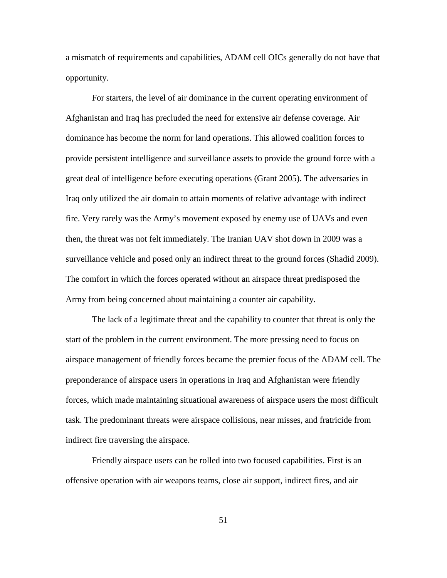a mismatch of requirements and capabilities, ADAM cell OICs generally do not have that opportunity.

For starters, the level of air dominance in the current operating environment of Afghanistan and Iraq has precluded the need for extensive air defense coverage. Air dominance has become the norm for land operations. This allowed coalition forces to provide persistent intelligence and surveillance assets to provide the ground force with a great deal of intelligence before executing operations (Grant 2005). The adversaries in Iraq only utilized the air domain to attain moments of relative advantage with indirect fire. Very rarely was the Army's movement exposed by enemy use of UAVs and even then, the threat was not felt immediately. The Iranian UAV shot down in 2009 was a surveillance vehicle and posed only an indirect threat to the ground forces (Shadid 2009). The comfort in which the forces operated without an airspace threat predisposed the Army from being concerned about maintaining a counter air capability.

The lack of a legitimate threat and the capability to counter that threat is only the start of the problem in the current environment. The more pressing need to focus on airspace management of friendly forces became the premier focus of the ADAM cell. The preponderance of airspace users in operations in Iraq and Afghanistan were friendly forces, which made maintaining situational awareness of airspace users the most difficult task. The predominant threats were airspace collisions, near misses, and fratricide from indirect fire traversing the airspace.

Friendly airspace users can be rolled into two focused capabilities. First is an offensive operation with air weapons teams, close air support, indirect fires, and air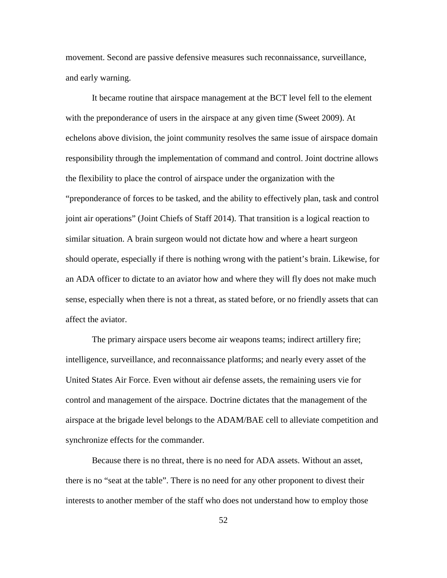movement. Second are passive defensive measures such reconnaissance, surveillance, and early warning.

It became routine that airspace management at the BCT level fell to the element with the preponderance of users in the airspace at any given time (Sweet 2009). At echelons above division, the joint community resolves the same issue of airspace domain responsibility through the implementation of command and control. Joint doctrine allows the flexibility to place the control of airspace under the organization with the "preponderance of forces to be tasked, and the ability to effectively plan, task and control joint air operations" (Joint Chiefs of Staff 2014). That transition is a logical reaction to similar situation. A brain surgeon would not dictate how and where a heart surgeon should operate, especially if there is nothing wrong with the patient's brain. Likewise, for an ADA officer to dictate to an aviator how and where they will fly does not make much sense, especially when there is not a threat, as stated before, or no friendly assets that can affect the aviator.

The primary airspace users become air weapons teams; indirect artillery fire; intelligence, surveillance, and reconnaissance platforms; and nearly every asset of the United States Air Force. Even without air defense assets, the remaining users vie for control and management of the airspace. Doctrine dictates that the management of the airspace at the brigade level belongs to the ADAM/BAE cell to alleviate competition and synchronize effects for the commander.

Because there is no threat, there is no need for ADA assets. Without an asset, there is no "seat at the table". There is no need for any other proponent to divest their interests to another member of the staff who does not understand how to employ those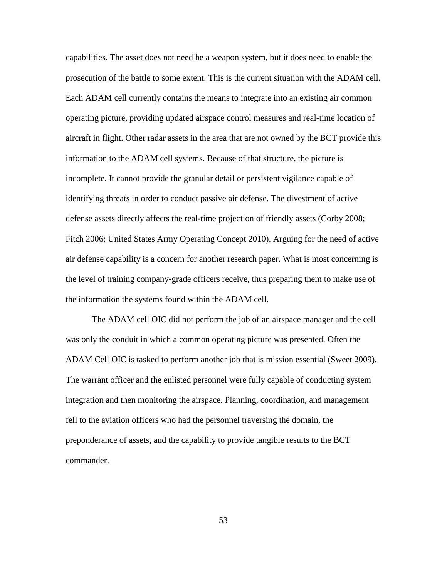capabilities. The asset does not need be a weapon system, but it does need to enable the prosecution of the battle to some extent. This is the current situation with the ADAM cell. Each ADAM cell currently contains the means to integrate into an existing air common operating picture, providing updated airspace control measures and real-time location of aircraft in flight. Other radar assets in the area that are not owned by the BCT provide this information to the ADAM cell systems. Because of that structure, the picture is incomplete. It cannot provide the granular detail or persistent vigilance capable of identifying threats in order to conduct passive air defense. The divestment of active defense assets directly affects the real-time projection of friendly assets (Corby 2008; Fitch 2006; United States Army Operating Concept 2010). Arguing for the need of active air defense capability is a concern for another research paper. What is most concerning is the level of training company-grade officers receive, thus preparing them to make use of the information the systems found within the ADAM cell.

The ADAM cell OIC did not perform the job of an airspace manager and the cell was only the conduit in which a common operating picture was presented. Often the ADAM Cell OIC is tasked to perform another job that is mission essential (Sweet 2009). The warrant officer and the enlisted personnel were fully capable of conducting system integration and then monitoring the airspace. Planning, coordination, and management fell to the aviation officers who had the personnel traversing the domain, the preponderance of assets, and the capability to provide tangible results to the BCT commander.

53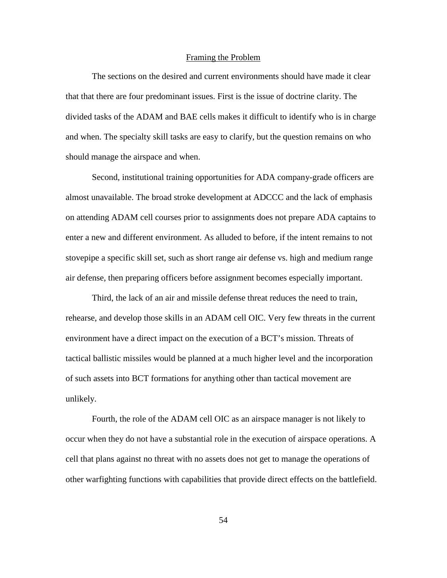## Framing the Problem

The sections on the desired and current environments should have made it clear that that there are four predominant issues. First is the issue of doctrine clarity. The divided tasks of the ADAM and BAE cells makes it difficult to identify who is in charge and when. The specialty skill tasks are easy to clarify, but the question remains on who should manage the airspace and when.

Second, institutional training opportunities for ADA company-grade officers are almost unavailable. The broad stroke development at ADCCC and the lack of emphasis on attending ADAM cell courses prior to assignments does not prepare ADA captains to enter a new and different environment. As alluded to before, if the intent remains to not stovepipe a specific skill set, such as short range air defense vs. high and medium range air defense, then preparing officers before assignment becomes especially important.

Third, the lack of an air and missile defense threat reduces the need to train, rehearse, and develop those skills in an ADAM cell OIC. Very few threats in the current environment have a direct impact on the execution of a BCT's mission. Threats of tactical ballistic missiles would be planned at a much higher level and the incorporation of such assets into BCT formations for anything other than tactical movement are unlikely.

Fourth, the role of the ADAM cell OIC as an airspace manager is not likely to occur when they do not have a substantial role in the execution of airspace operations. A cell that plans against no threat with no assets does not get to manage the operations of other warfighting functions with capabilities that provide direct effects on the battlefield.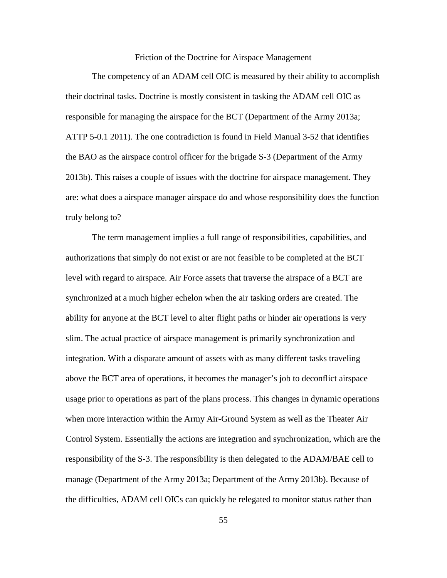Friction of the Doctrine for Airspace Management

The competency of an ADAM cell OIC is measured by their ability to accomplish their doctrinal tasks. Doctrine is mostly consistent in tasking the ADAM cell OIC as responsible for managing the airspace for the BCT (Department of the Army 2013a; ATTP 5-0.1 2011). The one contradiction is found in Field Manual 3-52 that identifies the BAO as the airspace control officer for the brigade S-3 (Department of the Army 2013b). This raises a couple of issues with the doctrine for airspace management. They are: what does a airspace manager airspace do and whose responsibility does the function truly belong to?

The term management implies a full range of responsibilities, capabilities, and authorizations that simply do not exist or are not feasible to be completed at the BCT level with regard to airspace. Air Force assets that traverse the airspace of a BCT are synchronized at a much higher echelon when the air tasking orders are created. The ability for anyone at the BCT level to alter flight paths or hinder air operations is very slim. The actual practice of airspace management is primarily synchronization and integration. With a disparate amount of assets with as many different tasks traveling above the BCT area of operations, it becomes the manager's job to deconflict airspace usage prior to operations as part of the plans process. This changes in dynamic operations when more interaction within the Army Air-Ground System as well as the Theater Air Control System. Essentially the actions are integration and synchronization, which are the responsibility of the S-3. The responsibility is then delegated to the ADAM/BAE cell to manage (Department of the Army 2013a; Department of the Army 2013b). Because of the difficulties, ADAM cell OICs can quickly be relegated to monitor status rather than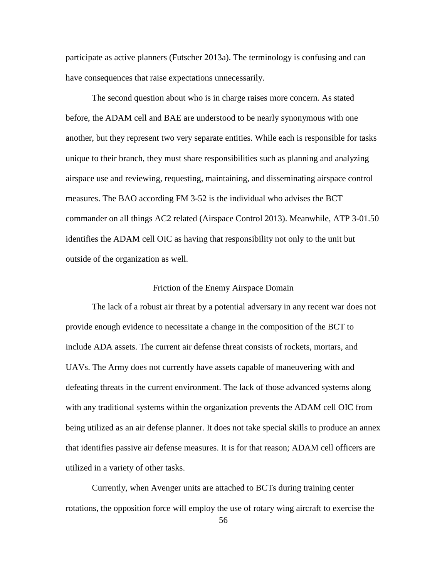participate as active planners (Futscher 2013a). The terminology is confusing and can have consequences that raise expectations unnecessarily.

The second question about who is in charge raises more concern. As stated before, the ADAM cell and BAE are understood to be nearly synonymous with one another, but they represent two very separate entities. While each is responsible for tasks unique to their branch, they must share responsibilities such as planning and analyzing airspace use and reviewing, requesting, maintaining, and disseminating airspace control measures. The BAO according FM 3-52 is the individual who advises the BCT commander on all things AC2 related (Airspace Control 2013). Meanwhile, ATP 3-01.50 identifies the ADAM cell OIC as having that responsibility not only to the unit but outside of the organization as well.

## Friction of the Enemy Airspace Domain

The lack of a robust air threat by a potential adversary in any recent war does not provide enough evidence to necessitate a change in the composition of the BCT to include ADA assets. The current air defense threat consists of rockets, mortars, and UAVs. The Army does not currently have assets capable of maneuvering with and defeating threats in the current environment. The lack of those advanced systems along with any traditional systems within the organization prevents the ADAM cell OIC from being utilized as an air defense planner. It does not take special skills to produce an annex that identifies passive air defense measures. It is for that reason; ADAM cell officers are utilized in a variety of other tasks.

Currently, when Avenger units are attached to BCTs during training center rotations, the opposition force will employ the use of rotary wing aircraft to exercise the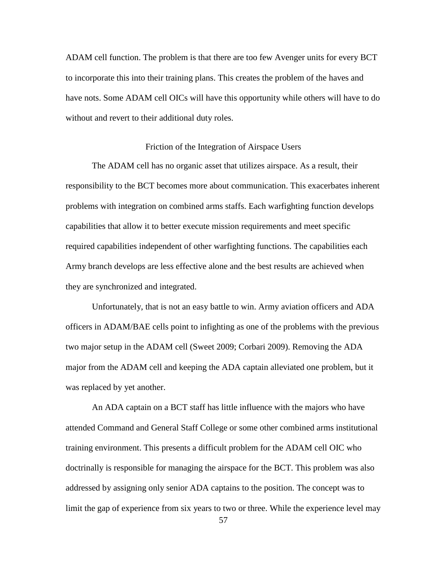ADAM cell function. The problem is that there are too few Avenger units for every BCT to incorporate this into their training plans. This creates the problem of the haves and have nots. Some ADAM cell OICs will have this opportunity while others will have to do without and revert to their additional duty roles.

#### Friction of the Integration of Airspace Users

The ADAM cell has no organic asset that utilizes airspace. As a result, their responsibility to the BCT becomes more about communication. This exacerbates inherent problems with integration on combined arms staffs. Each warfighting function develops capabilities that allow it to better execute mission requirements and meet specific required capabilities independent of other warfighting functions. The capabilities each Army branch develops are less effective alone and the best results are achieved when they are synchronized and integrated.

Unfortunately, that is not an easy battle to win. Army aviation officers and ADA officers in ADAM/BAE cells point to infighting as one of the problems with the previous two major setup in the ADAM cell (Sweet 2009; Corbari 2009). Removing the ADA major from the ADAM cell and keeping the ADA captain alleviated one problem, but it was replaced by yet another.

An ADA captain on a BCT staff has little influence with the majors who have attended Command and General Staff College or some other combined arms institutional training environment. This presents a difficult problem for the ADAM cell OIC who doctrinally is responsible for managing the airspace for the BCT. This problem was also addressed by assigning only senior ADA captains to the position. The concept was to limit the gap of experience from six years to two or three. While the experience level may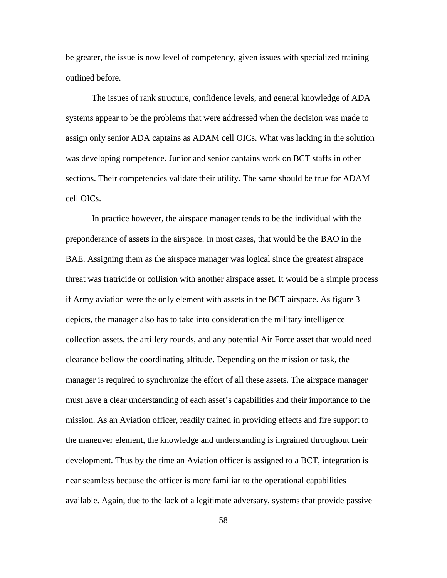be greater, the issue is now level of competency, given issues with specialized training outlined before.

The issues of rank structure, confidence levels, and general knowledge of ADA systems appear to be the problems that were addressed when the decision was made to assign only senior ADA captains as ADAM cell OICs. What was lacking in the solution was developing competence. Junior and senior captains work on BCT staffs in other sections. Their competencies validate their utility. The same should be true for ADAM cell OICs.

In practice however, the airspace manager tends to be the individual with the preponderance of assets in the airspace. In most cases, that would be the BAO in the BAE. Assigning them as the airspace manager was logical since the greatest airspace threat was fratricide or collision with another airspace asset. It would be a simple process if Army aviation were the only element with assets in the BCT airspace. As figure 3 depicts, the manager also has to take into consideration the military intelligence collection assets, the artillery rounds, and any potential Air Force asset that would need clearance bellow the coordinating altitude. Depending on the mission or task, the manager is required to synchronize the effort of all these assets. The airspace manager must have a clear understanding of each asset's capabilities and their importance to the mission. As an Aviation officer, readily trained in providing effects and fire support to the maneuver element, the knowledge and understanding is ingrained throughout their development. Thus by the time an Aviation officer is assigned to a BCT, integration is near seamless because the officer is more familiar to the operational capabilities available. Again, due to the lack of a legitimate adversary, systems that provide passive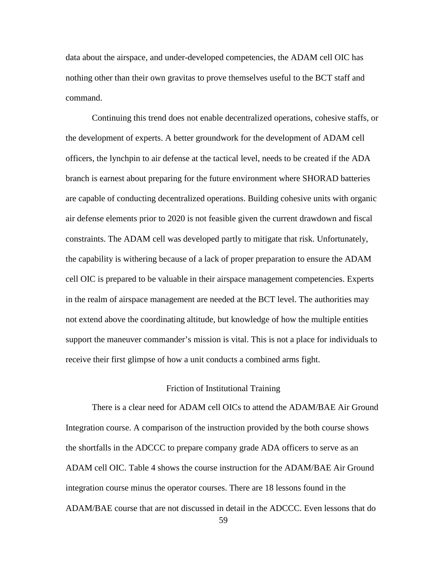data about the airspace, and under-developed competencies, the ADAM cell OIC has nothing other than their own gravitas to prove themselves useful to the BCT staff and command.

Continuing this trend does not enable decentralized operations, cohesive staffs, or the development of experts. A better groundwork for the development of ADAM cell officers, the lynchpin to air defense at the tactical level, needs to be created if the ADA branch is earnest about preparing for the future environment where SHORAD batteries are capable of conducting decentralized operations. Building cohesive units with organic air defense elements prior to 2020 is not feasible given the current drawdown and fiscal constraints. The ADAM cell was developed partly to mitigate that risk. Unfortunately, the capability is withering because of a lack of proper preparation to ensure the ADAM cell OIC is prepared to be valuable in their airspace management competencies. Experts in the realm of airspace management are needed at the BCT level. The authorities may not extend above the coordinating altitude, but knowledge of how the multiple entities support the maneuver commander's mission is vital. This is not a place for individuals to receive their first glimpse of how a unit conducts a combined arms fight.

#### Friction of Institutional Training

There is a clear need for ADAM cell OICs to attend the ADAM/BAE Air Ground Integration course. A comparison of the instruction provided by the both course shows the shortfalls in the ADCCC to prepare company grade ADA officers to serve as an ADAM cell OIC. Table 4 shows the course instruction for the ADAM/BAE Air Ground integration course minus the operator courses. There are 18 lessons found in the ADAM/BAE course that are not discussed in detail in the ADCCC. Even lessons that do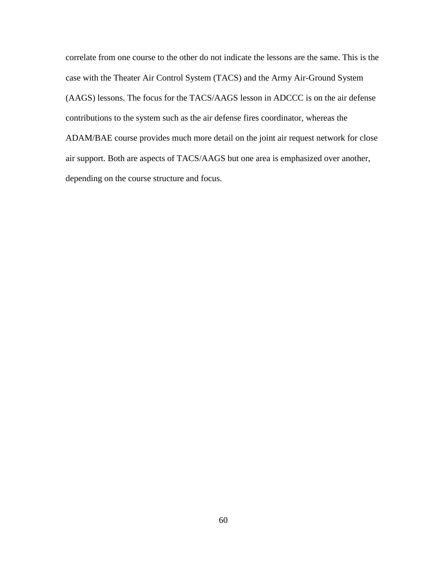correlate from one course to the other do not indicate the lessons are the same. This is the case with the Theater Air Control System (TACS) and the Army Air-Ground System (AAGS) lessons. The focus for the TACS/AAGS lesson in ADCCC is on the air defense contributions to the system such as the air defense fires coordinator, whereas the ADAM/BAE course provides much more detail on the joint air request network for close air support. Both are aspects of TACS/AAGS but one area is emphasized over another, depending on the course structure and focus.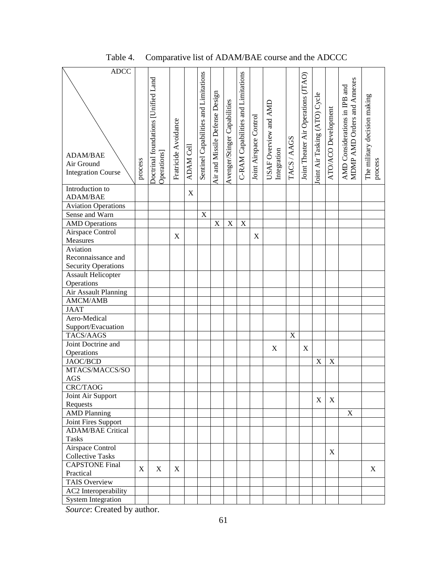| <b>ADCC</b>                |         |                                     |                      |             |                                       |                                |                              |                                    |                        |                                      |             |                                     |                               |                           |                               |                                         |
|----------------------------|---------|-------------------------------------|----------------------|-------------|---------------------------------------|--------------------------------|------------------------------|------------------------------------|------------------------|--------------------------------------|-------------|-------------------------------------|-------------------------------|---------------------------|-------------------------------|-----------------------------------------|
|                            |         | Doctrinal foundations [Unified Land |                      |             | Sentinel Capabilities and Limitations |                                |                              | C-RAM Capabilities and Limitations |                        |                                      |             | Joint Theater Air Operations (JTAO) |                               |                           | MDMP AMD Orders and Annexes   |                                         |
|                            |         |                                     |                      |             |                                       |                                |                              |                                    |                        |                                      |             |                                     |                               |                           | AMD Considerations in IPB and |                                         |
|                            |         |                                     |                      |             |                                       |                                |                              |                                    |                        |                                      |             |                                     |                               |                           |                               |                                         |
|                            |         |                                     |                      |             |                                       |                                |                              |                                    |                        |                                      |             |                                     |                               |                           |                               |                                         |
|                            |         |                                     |                      |             |                                       |                                |                              |                                    |                        |                                      |             |                                     |                               |                           |                               |                                         |
|                            |         |                                     |                      |             |                                       |                                |                              |                                    |                        |                                      |             |                                     |                               |                           |                               |                                         |
|                            |         |                                     |                      |             |                                       |                                |                              |                                    |                        |                                      |             |                                     |                               |                           |                               |                                         |
|                            |         |                                     |                      |             |                                       |                                |                              |                                    |                        |                                      |             |                                     |                               |                           |                               |                                         |
| ADAM/BAE                   |         |                                     |                      |             |                                       |                                |                              |                                    |                        |                                      |             |                                     |                               |                           |                               |                                         |
| Air Ground                 |         |                                     |                      |             |                                       |                                |                              |                                    |                        |                                      |             |                                     |                               |                           |                               |                                         |
| <b>Integration Course</b>  | process | Operations]                         | Fratricide Avoidance | ADAM Cell   |                                       | Air and Missile Defense Design | Avenger/Stinger Capabilities |                                    | Joint Airspace Control | USAF Overview and AMD<br>Integration | TACS/AAGS   |                                     | Joint Air Tasking (ATO) Cycle | ATO/ACO Development       |                               | The military decision making<br>process |
| Introduction to            |         |                                     |                      |             |                                       |                                |                              |                                    |                        |                                      |             |                                     |                               |                           |                               |                                         |
| ADAM/BAE                   |         |                                     |                      | $\mathbf X$ |                                       |                                |                              |                                    |                        |                                      |             |                                     |                               |                           |                               |                                         |
| <b>Aviation Operations</b> |         |                                     |                      |             |                                       |                                |                              |                                    |                        |                                      |             |                                     |                               |                           |                               |                                         |
| Sense and Warn             |         |                                     |                      |             | $\overline{X}$                        |                                |                              |                                    |                        |                                      |             |                                     |                               |                           |                               |                                         |
| <b>AMD</b> Operations      |         |                                     |                      |             |                                       | $\overline{X}$                 | X                            | X                                  |                        |                                      |             |                                     |                               |                           |                               |                                         |
| Airspace Control           |         |                                     |                      |             |                                       |                                |                              |                                    |                        |                                      |             |                                     |                               |                           |                               |                                         |
| Measures                   |         |                                     | X                    |             |                                       |                                |                              |                                    | X                      |                                      |             |                                     |                               |                           |                               |                                         |
| Aviation                   |         |                                     |                      |             |                                       |                                |                              |                                    |                        |                                      |             |                                     |                               |                           |                               |                                         |
| Reconnaissance and         |         |                                     |                      |             |                                       |                                |                              |                                    |                        |                                      |             |                                     |                               |                           |                               |                                         |
| <b>Security Operations</b> |         |                                     |                      |             |                                       |                                |                              |                                    |                        |                                      |             |                                     |                               |                           |                               |                                         |
| <b>Assault Helicopter</b>  |         |                                     |                      |             |                                       |                                |                              |                                    |                        |                                      |             |                                     |                               |                           |                               |                                         |
| Operations                 |         |                                     |                      |             |                                       |                                |                              |                                    |                        |                                      |             |                                     |                               |                           |                               |                                         |
| Air Assault Planning       |         |                                     |                      |             |                                       |                                |                              |                                    |                        |                                      |             |                                     |                               |                           |                               |                                         |
| AMCM/AMB                   |         |                                     |                      |             |                                       |                                |                              |                                    |                        |                                      |             |                                     |                               |                           |                               |                                         |
| <b>JAAT</b>                |         |                                     |                      |             |                                       |                                |                              |                                    |                        |                                      |             |                                     |                               |                           |                               |                                         |
| Aero-Medical               |         |                                     |                      |             |                                       |                                |                              |                                    |                        |                                      |             |                                     |                               |                           |                               |                                         |
| Support/Evacuation         |         |                                     |                      |             |                                       |                                |                              |                                    |                        |                                      |             |                                     |                               |                           |                               |                                         |
| TACS/AAGS                  |         |                                     |                      |             |                                       |                                |                              |                                    |                        |                                      | $\mathbf X$ |                                     |                               |                           |                               |                                         |
| Joint Doctrine and         |         |                                     |                      |             |                                       |                                |                              |                                    |                        | X                                    |             | X                                   |                               |                           |                               |                                         |
| Operations                 |         |                                     |                      |             |                                       |                                |                              |                                    |                        |                                      |             |                                     |                               |                           |                               |                                         |
| JAOC/BCD                   |         |                                     |                      |             |                                       |                                |                              |                                    |                        |                                      |             |                                     | $\mathbf X$                   | $\boldsymbol{\mathrm{X}}$ |                               |                                         |
| MTACS/MACCS/SO             |         |                                     |                      |             |                                       |                                |                              |                                    |                        |                                      |             |                                     |                               |                           |                               |                                         |
| $\rm{AGS}$                 |         |                                     |                      |             |                                       |                                |                              |                                    |                        |                                      |             |                                     |                               |                           |                               |                                         |
| <b>CRC/TAOG</b>            |         |                                     |                      |             |                                       |                                |                              |                                    |                        |                                      |             |                                     |                               |                           |                               |                                         |
| Joint Air Support          |         |                                     |                      |             |                                       |                                |                              |                                    |                        |                                      |             |                                     | $\mathbf X$                   | X                         |                               |                                         |
| Requests                   |         |                                     |                      |             |                                       |                                |                              |                                    |                        |                                      |             |                                     |                               |                           |                               |                                         |
| <b>AMD Planning</b>        |         |                                     |                      |             |                                       |                                |                              |                                    |                        |                                      |             |                                     |                               |                           | X                             |                                         |
| Joint Fires Support        |         |                                     |                      |             |                                       |                                |                              |                                    |                        |                                      |             |                                     |                               |                           |                               |                                         |
| <b>ADAM/BAE Critical</b>   |         |                                     |                      |             |                                       |                                |                              |                                    |                        |                                      |             |                                     |                               |                           |                               |                                         |
| <b>Tasks</b>               |         |                                     |                      |             |                                       |                                |                              |                                    |                        |                                      |             |                                     |                               |                           |                               |                                         |
| Airspace Control           |         |                                     |                      |             |                                       |                                |                              |                                    |                        |                                      |             |                                     |                               | X                         |                               |                                         |
| <b>Collective Tasks</b>    |         |                                     |                      |             |                                       |                                |                              |                                    |                        |                                      |             |                                     |                               |                           |                               |                                         |
| <b>CAPSTONE Final</b>      | X       | X                                   | X                    |             |                                       |                                |                              |                                    |                        |                                      |             |                                     |                               |                           |                               | X                                       |
| Practical                  |         |                                     |                      |             |                                       |                                |                              |                                    |                        |                                      |             |                                     |                               |                           |                               |                                         |
| TAIS Overview              |         |                                     |                      |             |                                       |                                |                              |                                    |                        |                                      |             |                                     |                               |                           |                               |                                         |
| AC2 Interoperability       |         |                                     |                      |             |                                       |                                |                              |                                    |                        |                                      |             |                                     |                               |                           |                               |                                         |
| <b>System Integration</b>  |         |                                     |                      |             |                                       |                                |                              |                                    |                        |                                      |             |                                     |                               |                           |                               |                                         |

# Table 4. Comparative list of ADAM/BAE course and the ADCCC

*Source*: Created by author.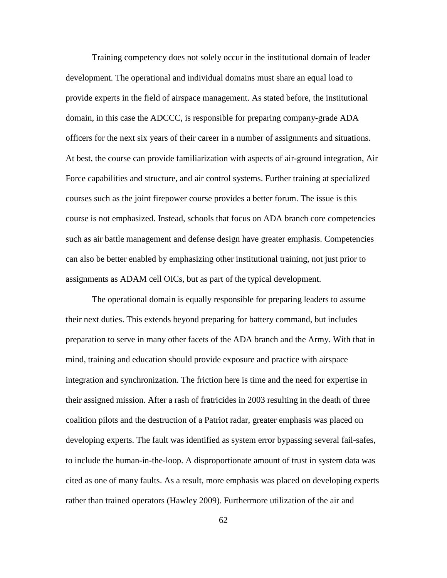Training competency does not solely occur in the institutional domain of leader development. The operational and individual domains must share an equal load to provide experts in the field of airspace management. As stated before, the institutional domain, in this case the ADCCC, is responsible for preparing company-grade ADA officers for the next six years of their career in a number of assignments and situations. At best, the course can provide familiarization with aspects of air-ground integration, Air Force capabilities and structure, and air control systems. Further training at specialized courses such as the joint firepower course provides a better forum. The issue is this course is not emphasized. Instead, schools that focus on ADA branch core competencies such as air battle management and defense design have greater emphasis. Competencies can also be better enabled by emphasizing other institutional training, not just prior to assignments as ADAM cell OICs, but as part of the typical development.

The operational domain is equally responsible for preparing leaders to assume their next duties. This extends beyond preparing for battery command, but includes preparation to serve in many other facets of the ADA branch and the Army. With that in mind, training and education should provide exposure and practice with airspace integration and synchronization. The friction here is time and the need for expertise in their assigned mission. After a rash of fratricides in 2003 resulting in the death of three coalition pilots and the destruction of a Patriot radar, greater emphasis was placed on developing experts. The fault was identified as system error bypassing several fail-safes, to include the human-in-the-loop. A disproportionate amount of trust in system data was cited as one of many faults. As a result, more emphasis was placed on developing experts rather than trained operators (Hawley 2009). Furthermore utilization of the air and

62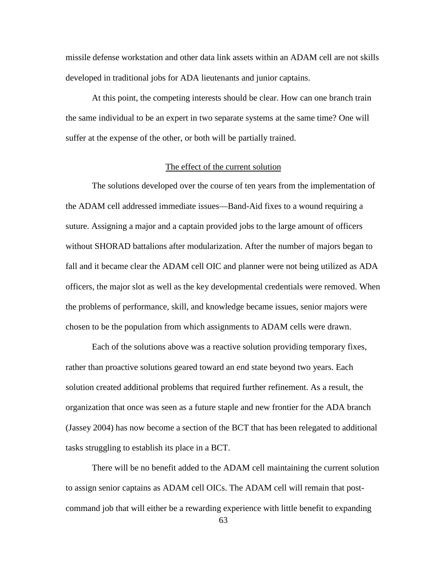missile defense workstation and other data link assets within an ADAM cell are not skills developed in traditional jobs for ADA lieutenants and junior captains.

At this point, the competing interests should be clear. How can one branch train the same individual to be an expert in two separate systems at the same time? One will suffer at the expense of the other, or both will be partially trained.

## The effect of the current solution

The solutions developed over the course of ten years from the implementation of the ADAM cell addressed immediate issues—Band-Aid fixes to a wound requiring a suture. Assigning a major and a captain provided jobs to the large amount of officers without SHORAD battalions after modularization. After the number of majors began to fall and it became clear the ADAM cell OIC and planner were not being utilized as ADA officers, the major slot as well as the key developmental credentials were removed. When the problems of performance, skill, and knowledge became issues, senior majors were chosen to be the population from which assignments to ADAM cells were drawn.

Each of the solutions above was a reactive solution providing temporary fixes, rather than proactive solutions geared toward an end state beyond two years. Each solution created additional problems that required further refinement. As a result, the organization that once was seen as a future staple and new frontier for the ADA branch (Jassey 2004) has now become a section of the BCT that has been relegated to additional tasks struggling to establish its place in a BCT.

There will be no benefit added to the ADAM cell maintaining the current solution to assign senior captains as ADAM cell OICs. The ADAM cell will remain that postcommand job that will either be a rewarding experience with little benefit to expanding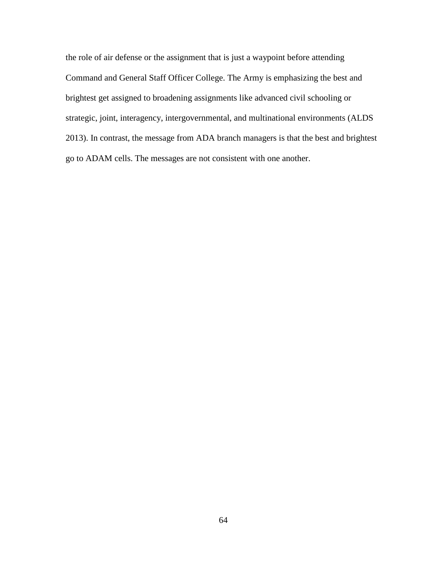the role of air defense or the assignment that is just a waypoint before attending Command and General Staff Officer College. The Army is emphasizing the best and brightest get assigned to broadening assignments like advanced civil schooling or strategic, joint, interagency, intergovernmental, and multinational environments (ALDS 2013). In contrast, the message from ADA branch managers is that the best and brightest go to ADAM cells. The messages are not consistent with one another.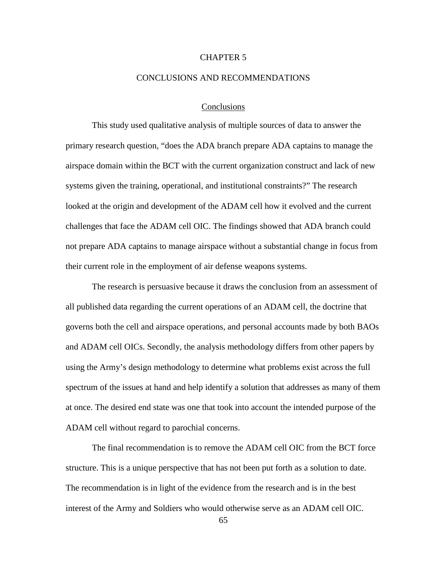## CHAPTER 5

### CONCLUSIONS AND RECOMMENDATIONS

## Conclusions

This study used qualitative analysis of multiple sources of data to answer the primary research question, "does the ADA branch prepare ADA captains to manage the airspace domain within the BCT with the current organization construct and lack of new systems given the training, operational, and institutional constraints?" The research looked at the origin and development of the ADAM cell how it evolved and the current challenges that face the ADAM cell OIC. The findings showed that ADA branch could not prepare ADA captains to manage airspace without a substantial change in focus from their current role in the employment of air defense weapons systems.

The research is persuasive because it draws the conclusion from an assessment of all published data regarding the current operations of an ADAM cell, the doctrine that governs both the cell and airspace operations, and personal accounts made by both BAOs and ADAM cell OICs. Secondly, the analysis methodology differs from other papers by using the Army's design methodology to determine what problems exist across the full spectrum of the issues at hand and help identify a solution that addresses as many of them at once. The desired end state was one that took into account the intended purpose of the ADAM cell without regard to parochial concerns.

The final recommendation is to remove the ADAM cell OIC from the BCT force structure. This is a unique perspective that has not been put forth as a solution to date. The recommendation is in light of the evidence from the research and is in the best interest of the Army and Soldiers who would otherwise serve as an ADAM cell OIC.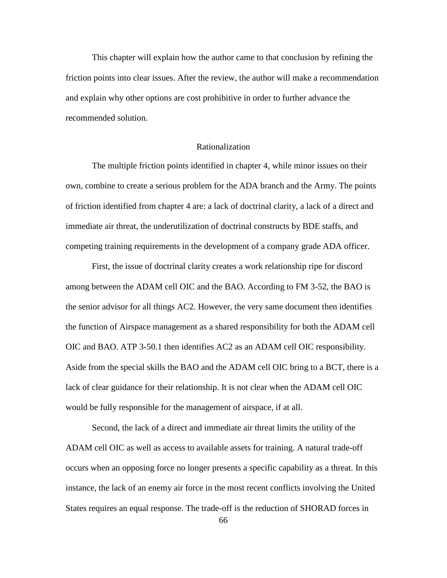This chapter will explain how the author came to that conclusion by refining the friction points into clear issues. After the review, the author will make a recommendation and explain why other options are cost prohibitive in order to further advance the recommended solution.

# Rationalization

The multiple friction points identified in chapter 4, while minor issues on their own, combine to create a serious problem for the ADA branch and the Army. The points of friction identified from chapter 4 are: a lack of doctrinal clarity, a lack of a direct and immediate air threat, the underutilization of doctrinal constructs by BDE staffs, and competing training requirements in the development of a company grade ADA officer.

First, the issue of doctrinal clarity creates a work relationship ripe for discord among between the ADAM cell OIC and the BAO. According to FM 3-52, the BAO is the senior advisor for all things AC2. However, the very same document then identifies the function of Airspace management as a shared responsibility for both the ADAM cell OIC and BAO. ATP 3-50.1 then identifies AC2 as an ADAM cell OIC responsibility. Aside from the special skills the BAO and the ADAM cell OIC bring to a BCT, there is a lack of clear guidance for their relationship. It is not clear when the ADAM cell OIC would be fully responsible for the management of airspace, if at all.

Second, the lack of a direct and immediate air threat limits the utility of the ADAM cell OIC as well as access to available assets for training. A natural trade-off occurs when an opposing force no longer presents a specific capability as a threat. In this instance, the lack of an enemy air force in the most recent conflicts involving the United States requires an equal response. The trade-off is the reduction of SHORAD forces in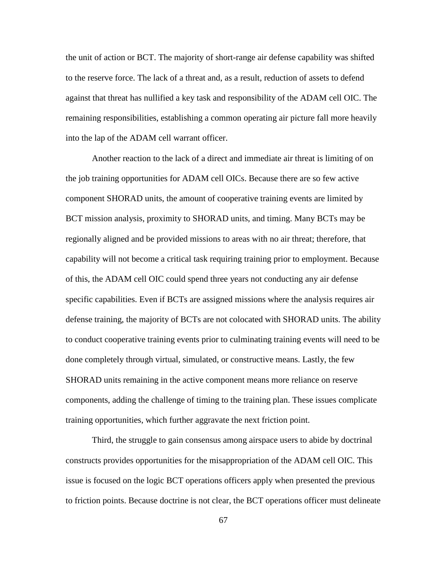the unit of action or BCT. The majority of short-range air defense capability was shifted to the reserve force. The lack of a threat and, as a result, reduction of assets to defend against that threat has nullified a key task and responsibility of the ADAM cell OIC. The remaining responsibilities, establishing a common operating air picture fall more heavily into the lap of the ADAM cell warrant officer.

Another reaction to the lack of a direct and immediate air threat is limiting of on the job training opportunities for ADAM cell OICs. Because there are so few active component SHORAD units, the amount of cooperative training events are limited by BCT mission analysis, proximity to SHORAD units, and timing. Many BCTs may be regionally aligned and be provided missions to areas with no air threat; therefore, that capability will not become a critical task requiring training prior to employment. Because of this, the ADAM cell OIC could spend three years not conducting any air defense specific capabilities. Even if BCTs are assigned missions where the analysis requires air defense training, the majority of BCTs are not colocated with SHORAD units. The ability to conduct cooperative training events prior to culminating training events will need to be done completely through virtual, simulated, or constructive means. Lastly, the few SHORAD units remaining in the active component means more reliance on reserve components, adding the challenge of timing to the training plan. These issues complicate training opportunities, which further aggravate the next friction point.

Third, the struggle to gain consensus among airspace users to abide by doctrinal constructs provides opportunities for the misappropriation of the ADAM cell OIC. This issue is focused on the logic BCT operations officers apply when presented the previous to friction points. Because doctrine is not clear, the BCT operations officer must delineate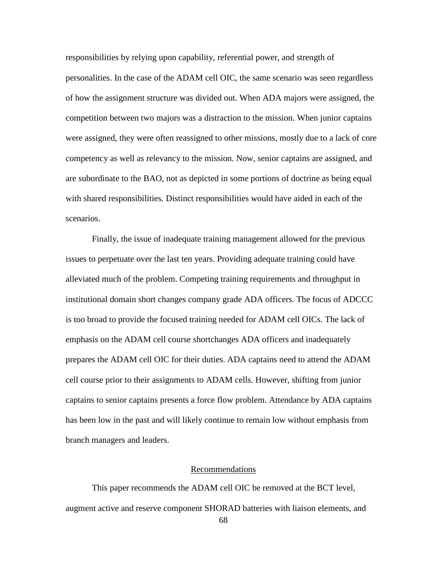responsibilities by relying upon capability, referential power, and strength of personalities. In the case of the ADAM cell OIC, the same scenario was seen regardless of how the assignment structure was divided out. When ADA majors were assigned, the competition between two majors was a distraction to the mission. When junior captains were assigned, they were often reassigned to other missions, mostly due to a lack of core competency as well as relevancy to the mission. Now, senior captains are assigned, and are subordinate to the BAO, not as depicted in some portions of doctrine as being equal with shared responsibilities. Distinct responsibilities would have aided in each of the scenarios.

Finally, the issue of inadequate training management allowed for the previous issues to perpetuate over the last ten years. Providing adequate training could have alleviated much of the problem. Competing training requirements and throughput in institutional domain short changes company grade ADA officers. The focus of ADCCC is too broad to provide the focused training needed for ADAM cell OICs. The lack of emphasis on the ADAM cell course shortchanges ADA officers and inadequately prepares the ADAM cell OIC for their duties. ADA captains need to attend the ADAM cell course prior to their assignments to ADAM cells. However, shifting from junior captains to senior captains presents a force flow problem. Attendance by ADA captains has been low in the past and will likely continue to remain low without emphasis from branch managers and leaders.

## Recommendations

This paper recommends the ADAM cell OIC be removed at the BCT level, augment active and reserve component SHORAD batteries with liaison elements, and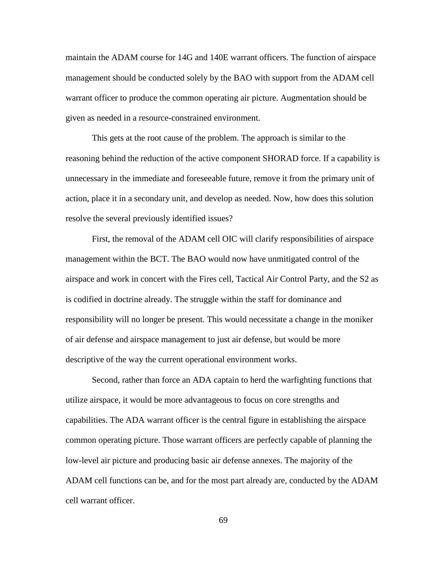maintain the ADAM course for 14G and 140E warrant officers. The function of airspace management should be conducted solely by the BAO with support from the ADAM cell warrant officer to produce the common operating air picture. Augmentation should be given as needed in a resource-constrained environment.

This gets at the root cause of the problem. The approach is similar to the reasoning behind the reduction of the active component SHORAD force. If a capability is unnecessary in the immediate and foreseeable future, remove it from the primary unit of action, place it in a secondary unit, and develop as needed. Now, how does this solution resolve the several previously identified issues?

First, the removal of the ADAM cell OIC will clarify responsibilities of airspace management within the BCT. The BAO would now have unmitigated control of the airspace and work in concert with the Fires cell, Tactical Air Control Party, and the S2 as is codified in doctrine already. The struggle within the staff for dominance and responsibility will no longer be present. This would necessitate a change in the moniker of air defense and airspace management to just air defense, but would be more descriptive of the way the current operational environment works.

Second, rather than force an ADA captain to herd the warfighting functions that utilize airspace, it would be more advantageous to focus on core strengths and capabilities. The ADA warrant officer is the central figure in establishing the airspace common operating picture. Those warrant officers are perfectly capable of planning the low-level air picture and producing basic air defense annexes. The majority of the ADAM cell functions can be, and for the most part already are, conducted by the ADAM cell warrant officer.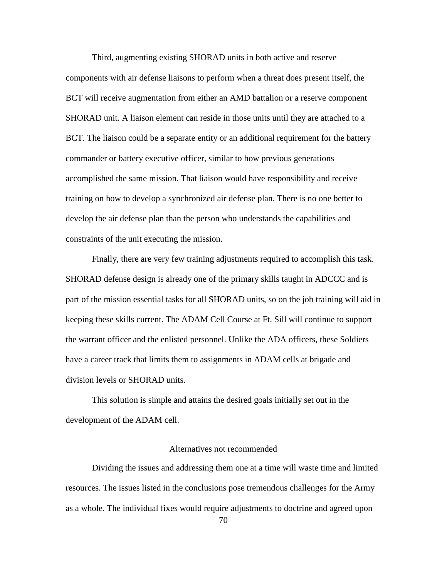Third, augmenting existing SHORAD units in both active and reserve components with air defense liaisons to perform when a threat does present itself, the BCT will receive augmentation from either an AMD battalion or a reserve component SHORAD unit. A liaison element can reside in those units until they are attached to a BCT. The liaison could be a separate entity or an additional requirement for the battery commander or battery executive officer, similar to how previous generations accomplished the same mission. That liaison would have responsibility and receive training on how to develop a synchronized air defense plan. There is no one better to develop the air defense plan than the person who understands the capabilities and constraints of the unit executing the mission.

Finally, there are very few training adjustments required to accomplish this task. SHORAD defense design is already one of the primary skills taught in ADCCC and is part of the mission essential tasks for all SHORAD units, so on the job training will aid in keeping these skills current. The ADAM Cell Course at Ft. Sill will continue to support the warrant officer and the enlisted personnel. Unlike the ADA officers, these Soldiers have a career track that limits them to assignments in ADAM cells at brigade and division levels or SHORAD units.

This solution is simple and attains the desired goals initially set out in the development of the ADAM cell.

# Alternatives not recommended

Dividing the issues and addressing them one at a time will waste time and limited resources. The issues listed in the conclusions pose tremendous challenges for the Army as a whole. The individual fixes would require adjustments to doctrine and agreed upon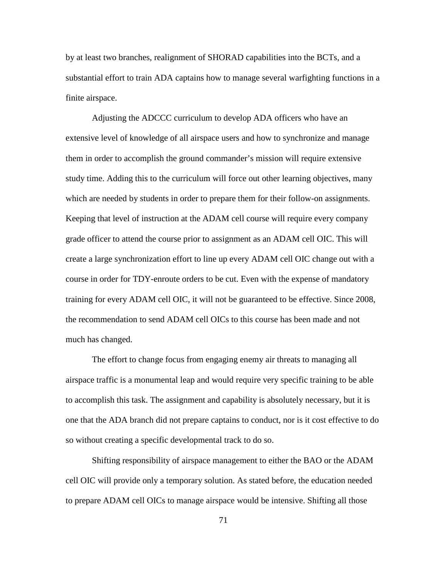by at least two branches, realignment of SHORAD capabilities into the BCTs, and a substantial effort to train ADA captains how to manage several warfighting functions in a finite airspace.

Adjusting the ADCCC curriculum to develop ADA officers who have an extensive level of knowledge of all airspace users and how to synchronize and manage them in order to accomplish the ground commander's mission will require extensive study time. Adding this to the curriculum will force out other learning objectives, many which are needed by students in order to prepare them for their follow-on assignments. Keeping that level of instruction at the ADAM cell course will require every company grade officer to attend the course prior to assignment as an ADAM cell OIC. This will create a large synchronization effort to line up every ADAM cell OIC change out with a course in order for TDY-enroute orders to be cut. Even with the expense of mandatory training for every ADAM cell OIC, it will not be guaranteed to be effective. Since 2008, the recommendation to send ADAM cell OICs to this course has been made and not much has changed.

The effort to change focus from engaging enemy air threats to managing all airspace traffic is a monumental leap and would require very specific training to be able to accomplish this task. The assignment and capability is absolutely necessary, but it is one that the ADA branch did not prepare captains to conduct, nor is it cost effective to do so without creating a specific developmental track to do so.

Shifting responsibility of airspace management to either the BAO or the ADAM cell OIC will provide only a temporary solution. As stated before, the education needed to prepare ADAM cell OICs to manage airspace would be intensive. Shifting all those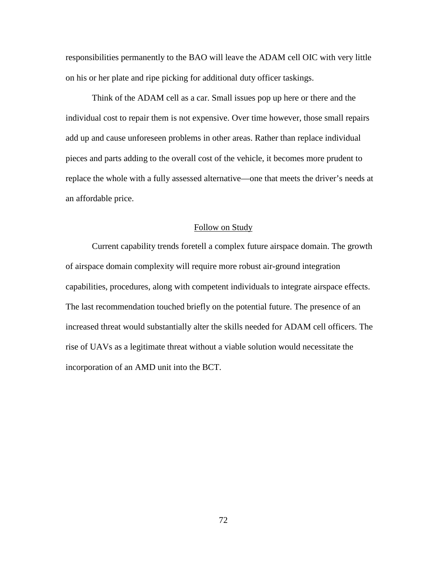responsibilities permanently to the BAO will leave the ADAM cell OIC with very little on his or her plate and ripe picking for additional duty officer taskings.

Think of the ADAM cell as a car. Small issues pop up here or there and the individual cost to repair them is not expensive. Over time however, those small repairs add up and cause unforeseen problems in other areas. Rather than replace individual pieces and parts adding to the overall cost of the vehicle, it becomes more prudent to replace the whole with a fully assessed alternative—one that meets the driver's needs at an affordable price.

# Follow on Study

Current capability trends foretell a complex future airspace domain. The growth of airspace domain complexity will require more robust air-ground integration capabilities, procedures, along with competent individuals to integrate airspace effects. The last recommendation touched briefly on the potential future. The presence of an increased threat would substantially alter the skills needed for ADAM cell officers. The rise of UAVs as a legitimate threat without a viable solution would necessitate the incorporation of an AMD unit into the BCT.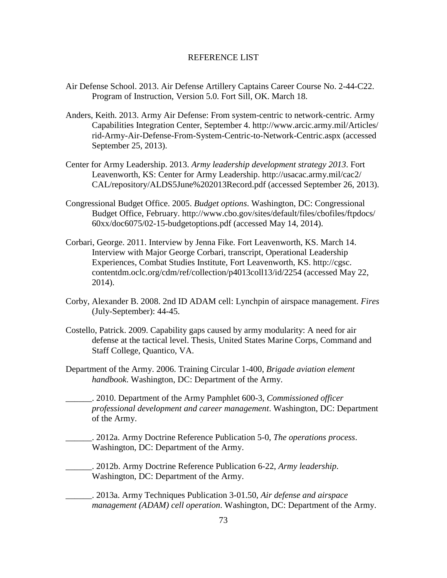### REFERENCE LIST

- Air Defense School. 2013. Air Defense Artillery Captains Career Course No. 2-44-C22. Program of Instruction, Version 5.0. Fort Sill, OK. March 18.
- Anders, Keith. 2013. Army Air Defense: From system-centric to network-centric. Army Capabilities Integration Center, September 4. http://www.arcic.army.mil/Articles/ rid-Army-Air-Defense-From-System-Centric-to-Network-Centric.aspx (accessed September 25, 2013).
- Center for Army Leadership. 2013. *Army leadership development strategy 2013*. Fort Leavenworth, KS: Center for Army Leadership. http://usacac.army.mil/cac2/ CAL/repository/ALDS5June%202013Record.pdf (accessed September 26, 2013).
- Congressional Budget Office. 2005. *Budget options*. Washington, DC: Congressional Budget Office, February. http://www.cbo.gov/sites/default/files/cbofiles/ftpdocs/ 60xx/doc6075/02-15-budgetoptions.pdf (accessed May 14, 2014).
- Corbari, George. 2011. Interview by Jenna Fike. Fort Leavenworth, KS. March 14. Interview with Major George Corbari, transcript, Operational Leadership Experiences, Combat Studies Institute, Fort Leavenworth, KS. http://cgsc. contentdm.oclc.org/cdm/ref/collection/p4013coll13/id/2254 (accessed May 22, 2014).
- Corby, Alexander B. 2008. 2nd ID ADAM cell: Lynchpin of airspace management. *Fires* (July-September): 44-45.
- Costello, Patrick. 2009. Capability gaps caused by army modularity: A need for air defense at the tactical level. Thesis, United States Marine Corps, Command and Staff College, Quantico, VA.
- Department of the Army. 2006. Training Circular 1-400, *Brigade aviation element handbook*. Washington, DC: Department of the Army.
- \_\_\_\_\_\_. 2010. Department of the Army Pamphlet 600-3, *Commissioned officer professional development and career management*. Washington, DC: Department of the Army.
	- \_\_\_\_\_\_. 2012a. Army Doctrine Reference Publication 5-0, *The operations process*. Washington, DC: Department of the Army.
	- \_\_\_\_\_\_. 2012b. Army Doctrine Reference Publication 6-22, *Army leadership*. Washington, DC: Department of the Army.
- \_\_\_\_\_\_. 2013a. Army Techniques Publication 3-01.50, *Air defense and airspace management (ADAM) cell operation*. Washington, DC: Department of the Army.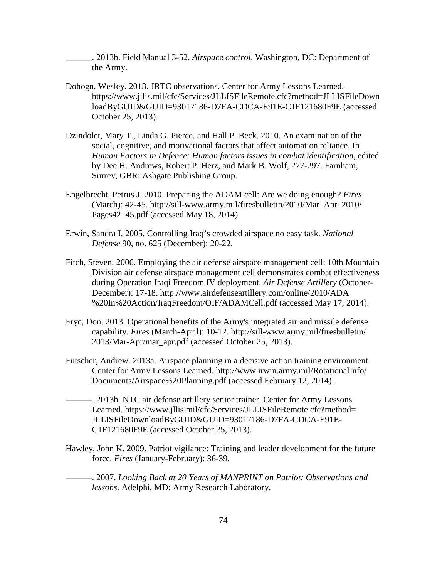\_\_\_\_\_\_. 2013b. Field Manual 3-52, *Airspace control*. Washington, DC: Department of the Army.

- Dohogn, Wesley. 2013. JRTC observations. Center for Army Lessons Learned. https://www.jllis.mil/cfc/Services/JLLISFileRemote.cfc?method=JLLISFileDown loadByGUID&GUID=93017186-D7FA-CDCA-E91E-C1F121680F9E (accessed October 25, 2013).
- Dzindolet, Mary T., Linda G. Pierce, and Hall P. Beck. 2010. An examination of the social, cognitive, and motivational factors that affect automation reliance. In *Human Factors in Defence: Human factors issues in combat identification*, edited by Dee H. Andrews, Robert P. Herz, and Mark B. Wolf, 277-297. Farnham, Surrey, GBR: Ashgate Publishing Group.
- Engelbrecht, Petrus J. 2010. Preparing the ADAM cell: Are we doing enough? *Fires* (March): 42-45. http://sill-www.army.mil/firesbulletin/2010/Mar\_Apr\_2010/ Pages42\_45.pdf (accessed May 18, 2014).
- Erwin, Sandra I. 2005. Controlling Iraq's crowded airspace no easy task. *National Defense* 90, no. 625 (December): 20-22.
- Fitch, Steven. 2006. Employing the air defense airspace management cell: 10th Mountain Division air defense airspace management cell demonstrates combat effectiveness during Operation Iraqi Freedom IV deployment. *Air Defense Artillery* (October-December): 17-18. http://www.airdefenseartillery.com/online/2010/ADA %20In%20Action/IraqFreedom/OIF/ADAMCell.pdf (accessed May 17, 2014).
- Fryc, Don. 2013. Operational benefits of the Army's integrated air and missile defense capability. *Fires* (March-April): 10-12. http://sill-www.army.mil/firesbulletin/ 2013/Mar-Apr/mar\_apr.pdf (accessed October 25, 2013).
- Futscher, Andrew. 2013a. Airspace planning in a decisive action training environment. Center for Army Lessons Learned. http://www.irwin.army.mil/RotationalInfo/ Documents/Airspace%20Planning.pdf (accessed February 12, 2014).
- ———. 2013b. NTC air defense artillery senior trainer. Center for Army Lessons Learned. https://www.jllis.mil/cfc/Services/JLLISFileRemote.cfc?method= JLLISFileDownloadByGUID&GUID=93017186-D7FA-CDCA-E91E-C1F121680F9E (accessed October 25, 2013).
- Hawley, John K. 2009. Patriot vigilance: Training and leader development for the future force. *Fires* (January-February): 36-39.

———. 2007. *Looking Back at 20 Years of MANPRINT on Patriot: Observations and lessons.* Adelphi, MD: Army Research Laboratory.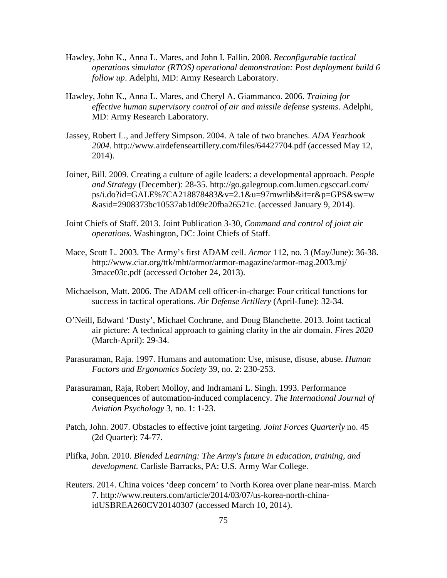- Hawley, John K., Anna L. Mares, and John I. Fallin. 2008. *Reconfigurable tactical operations simulator (RTOS) operational demonstration: Post deployment build 6 follow up*. Adelphi, MD: Army Research Laboratory.
- Hawley, John K., Anna L. Mares, and Cheryl A. Giammanco. 2006. *Training for effective human supervisory control of air and missile defense systems*. Adelphi, MD: Army Research Laboratory.
- Jassey, Robert L., and Jeffery Simpson. 2004. A tale of two branches. *ADA Yearbook 2004*. http://www.airdefenseartillery.com/files/64427704.pdf (accessed May 12, 2014).
- Joiner, Bill. 2009. Creating a culture of agile leaders: a developmental approach. *People and Strategy* (December): 28-35. http://go.galegroup.com.lumen.cgsccarl.com/ ps/i.do?id=GALE%7CA218878483&v=2.1&u=97mwrlib&it=r&p=GPS&sw=w &asid=2908373bc10537ab1d09c20fba26521c. (accessed January 9, 2014).
- Joint Chiefs of Staff. 2013. Joint Publication 3-30, *Command and control of joint air operations*. Washington, DC: Joint Chiefs of Staff.
- Mace, Scott L. 2003. The Army's first ADAM cell. *Armor* 112, no. 3 (May/June): 36-38. http://www.ciar.org/ttk/mbt/armor/armor-magazine/armor-mag.2003.mj/ 3mace03c.pdf (accessed October 24, 2013).
- Michaelson, Matt. 2006. The ADAM cell officer-in-charge: Four critical functions for success in tactical operations. *Air Defense Artillery* (April-June): 32-34.
- O'Neill, Edward 'Dusty', Michael Cochrane, and Doug Blanchette. 2013. Joint tactical air picture: A technical approach to gaining clarity in the air domain. *Fires 2020* (March-April): 29-34.
- Parasuraman, Raja. 1997. Humans and automation: Use, misuse, disuse, abuse. *Human Factors and Ergonomics Society* 39, no. 2: 230-253.
- Parasuraman, Raja, Robert Molloy, and Indramani L. Singh. 1993. Performance consequences of automation-induced complacency. *The International Journal of Aviation Psychology* 3, no. 1: 1-23.
- Patch, John. 2007. Obstacles to effective joint targeting. *Joint Forces Quarterly* no. 45 (2d Quarter): 74-77.
- Plifka, John. 2010. *Blended Learning: The Army's future in education, training, and development.* Carlisle Barracks, PA: U.S. Army War College.
- Reuters. 2014. China voices 'deep concern' to North Korea over plane near-miss. March 7. http://www.reuters.com/article/2014/03/07/us-korea-north-chinaidUSBREA260CV20140307 (accessed March 10, 2014).